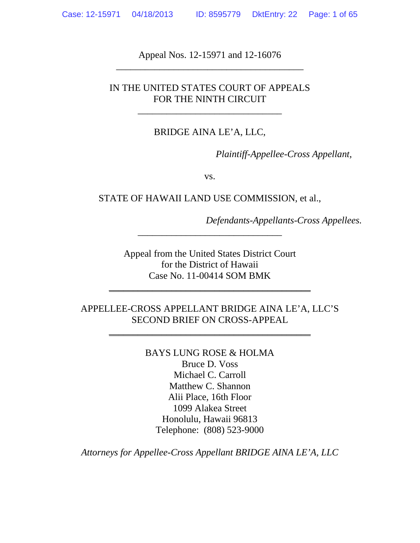Appeal Nos. 12-15971 and 12-16076 \_\_\_\_\_\_\_\_\_\_\_\_\_\_\_\_\_\_\_\_\_\_\_\_\_\_\_\_\_\_\_\_\_\_\_\_\_\_\_

# IN THE UNITED STATES COURT OF APPEALS FOR THE NINTH CIRCUIT

\_\_\_\_\_\_\_\_\_\_\_\_\_\_\_\_\_\_\_\_\_\_\_\_\_\_\_\_\_\_

#### BRIDGE AINA LE'A, LLC,

*Plaintiff-Appellee-Cross Appellant,*

vs.

STATE OF HAWAII LAND USE COMMISSION, et al.,

*Defendants-Appellants-Cross Appellees.*

Appeal from the United States District Court for the District of Hawaii Case No. 11-00414 SOM BMK

\_\_\_\_\_\_\_\_\_\_\_\_\_\_\_\_\_\_\_\_\_\_\_\_\_\_\_\_\_\_\_\_\_\_\_\_\_\_\_\_\_\_

\_\_\_\_\_\_\_\_\_\_\_\_\_\_\_\_\_\_\_\_\_\_\_\_\_\_\_\_\_\_

# APPELLEE-CROSS APPELLANT BRIDGE AINA LE'A, LLC'S SECOND BRIEF ON CROSS-APPEAL

\_\_\_\_\_\_\_\_\_\_\_\_\_\_\_\_\_\_\_\_\_\_\_\_\_\_\_\_\_\_\_\_\_\_\_\_\_\_\_\_\_\_

BAYS LUNG ROSE & HOLMA Bruce D. Voss Michael C. Carroll Matthew C. Shannon Alii Place, 16th Floor 1099 Alakea Street Honolulu, Hawaii 96813 Telephone: (808) 523-9000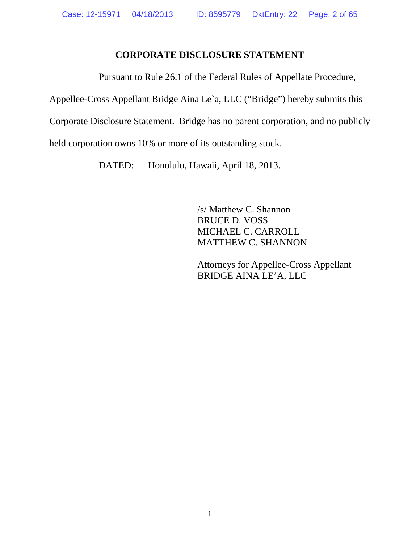# **CORPORATE DISCLOSURE STATEMENT**

Pursuant to Rule 26.1 of the Federal Rules of Appellate Procedure,

Appellee-Cross Appellant Bridge Aina Le`a, LLC ("Bridge") hereby submits this

Corporate Disclosure Statement. Bridge has no parent corporation, and no publicly

held corporation owns 10% or more of its outstanding stock.

DATED: Honolulu, Hawaii, April 18, 2013.

/s/ Matthew C. Shannon BRUCE D. VOSS MICHAEL C. CARROLL MATTHEW C. SHANNON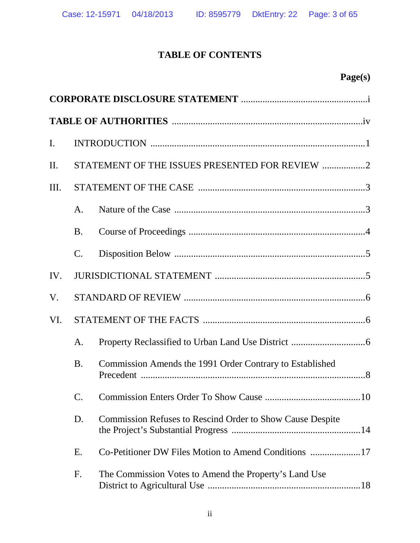# **TABLE OF CONTENTS**

| $\mathbf{I}$ . |                |                                                           |  |  |
|----------------|----------------|-----------------------------------------------------------|--|--|
| II.            |                | STATEMENT OF THE ISSUES PRESENTED FOR REVIEW 2            |  |  |
| Ш.             |                |                                                           |  |  |
|                | A <sub>1</sub> |                                                           |  |  |
|                | <b>B.</b>      |                                                           |  |  |
|                | $\mathbf{C}$ . |                                                           |  |  |
| IV.            |                |                                                           |  |  |
| V.             |                |                                                           |  |  |
| VI.            |                |                                                           |  |  |
|                | A.             |                                                           |  |  |
|                | <b>B.</b>      | Commission Amends the 1991 Order Contrary to Established  |  |  |
|                | C.             |                                                           |  |  |
|                | D.             | Commission Refuses to Rescind Order to Show Cause Despite |  |  |
|                | Ε.             | Co-Petitioner DW Files Motion to Amend Conditions 17      |  |  |
|                | F.             | The Commission Votes to Amend the Property's Land Use     |  |  |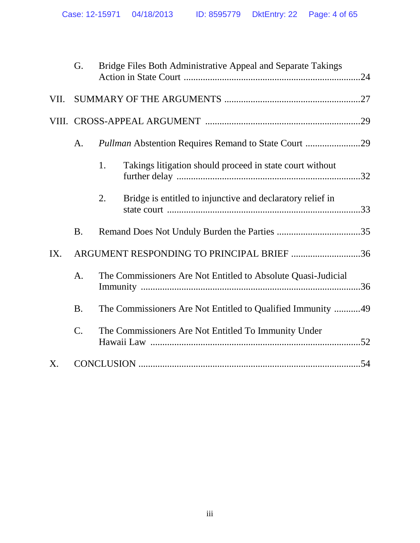|             | G.              |                                                                      | Bridge Files Both Administrative Appeal and Separate Takings |  |
|-------------|-----------------|----------------------------------------------------------------------|--------------------------------------------------------------|--|
| VII.        |                 |                                                                      |                                                              |  |
|             |                 |                                                                      |                                                              |  |
|             | A.              |                                                                      | Pullman Abstention Requires Remand to State Court 29         |  |
|             |                 | 1.                                                                   | Takings litigation should proceed in state court without     |  |
|             |                 | 2.                                                                   | Bridge is entitled to injunctive and declaratory relief in   |  |
|             | <b>B.</b>       |                                                                      |                                                              |  |
| IX.         |                 |                                                                      | ARGUMENT RESPONDING TO PRINCIPAL BRIEF 36                    |  |
|             | A.              | The Commissioners Are Not Entitled to Absolute Quasi-Judicial<br>.36 |                                                              |  |
|             | <b>B.</b>       |                                                                      | The Commissioners Are Not Entitled to Qualified Immunity 49  |  |
|             | $\mathcal{C}$ . |                                                                      | The Commissioners Are Not Entitled To Immunity Under         |  |
| $X_{\cdot}$ |                 |                                                                      |                                                              |  |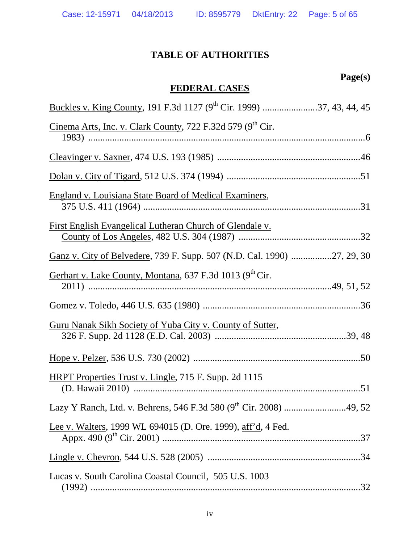# **TABLE OF AUTHORITIES**

# **Page(s)**

# **FEDERAL CASES**

| Buckles v. King County, 191 F.3d 1127 (9 <sup>th</sup> Cir. 1999) 37, 43, 44, 45 |  |
|----------------------------------------------------------------------------------|--|
| Cinema Arts, Inc. v. Clark County, 722 F.32d 579 (9 <sup>th</sup> Cir.           |  |
|                                                                                  |  |
|                                                                                  |  |
| <b>England v. Louisiana State Board of Medical Examiners,</b>                    |  |
| <u>First English Evangelical Lutheran Church of Glendale v.</u>                  |  |
| Ganz v. City of Belvedere, 739 F. Supp. 507 (N.D. Cal. 1990) 27, 29, 30          |  |
| Gerhart v. Lake County, Montana, 637 F.3d 1013 (9 <sup>th</sup> Cir.             |  |
|                                                                                  |  |
| Guru Nanak Sikh Society of Yuba City v. County of Sutter,                        |  |
|                                                                                  |  |
| HRPT Properties Trust v. Lingle, 715 F. Supp. 2d 1115                            |  |
| Lazy Y Ranch, Ltd. v. Behrens, 546 F.3d 580 (9 <sup>th</sup> Cir. 2008) 49, 52   |  |
| Lee v. Walters, 1999 WL 694015 (D. Ore. 1999), aff'd, 4 Fed.                     |  |
|                                                                                  |  |
| Lucas v. South Carolina Coastal Council, 505 U.S. 1003                           |  |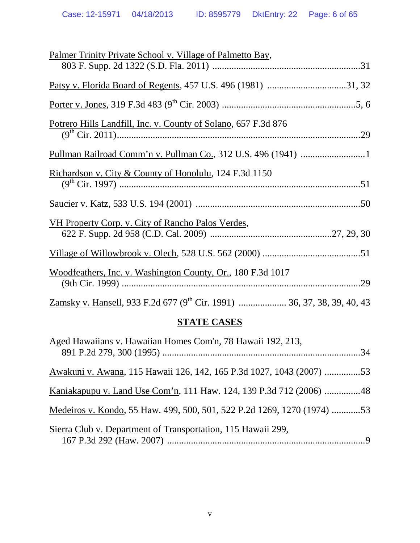| Palmer Trinity Private School v. Village of Palmetto Bay,      |
|----------------------------------------------------------------|
|                                                                |
|                                                                |
|                                                                |
| Potrero Hills Landfill, Inc. v. County of Solano, 657 F.3d 876 |
|                                                                |
| Pullman Railroad Comm'n v. Pullman Co., 312 U.S. 496 (1941) 1  |
| Richardson v. City & County of Honolulu, 124 F.3d 1150         |
|                                                                |
|                                                                |
| VH Property Corp. v. City of Rancho Palos Verdes,              |
|                                                                |
|                                                                |
| Woodfeathers, Inc. v. Washington County, Or., 180 F.3d 1017    |
|                                                                |
|                                                                |

# **STATE CASES**

| Aged Hawaiians v. Hawaiian Homes Com'n, 78 Hawaii 192, 213,             |  |
|-------------------------------------------------------------------------|--|
| Awakuni v. Awana, 115 Hawaii 126, 142, 165 P.3d 1027, 1043 (2007) 53    |  |
|                                                                         |  |
| Medeiros v. Kondo, 55 Haw. 499, 500, 501, 522 P.2d 1269, 1270 (1974) 53 |  |
| Sierra Club v. Department of Transportation, 115 Hawaii 299,            |  |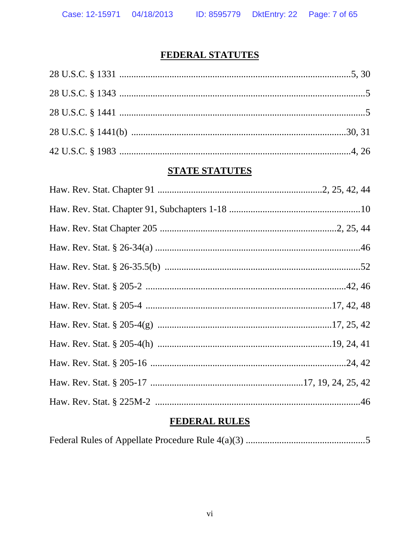# FEDERAL STATUTES

# **STATE STATUTES**

# **FEDERAL RULES**

|--|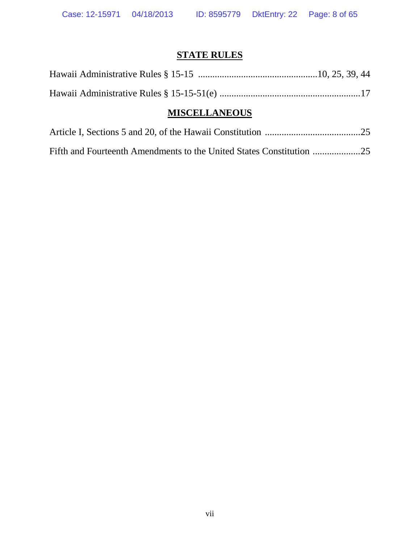# **STATE RULES**

| <b>MISCELLANEOUS</b> |  |
|----------------------|--|
|                      |  |
|                      |  |

# Article I, Sections 5 and 20, of the Hawaii Constitution ........................................25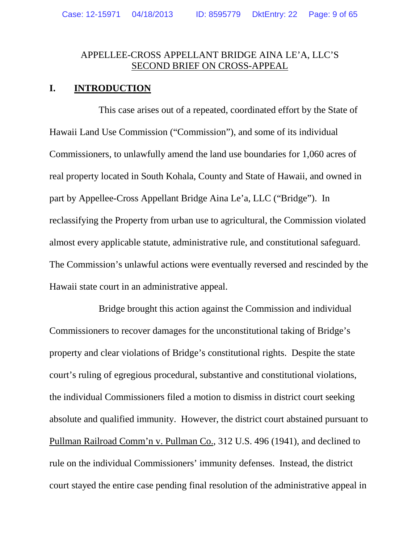## APPELLEE-CROSS APPELLANT BRIDGE AINA LE'A, LLC'S SECOND BRIEF ON CROSS-APPEAL

## **I. INTRODUCTION**

This case arises out of a repeated, coordinated effort by the State of Hawaii Land Use Commission ("Commission"), and some of its individual Commissioners, to unlawfully amend the land use boundaries for 1,060 acres of real property located in South Kohala, County and State of Hawaii, and owned in part by Appellee-Cross Appellant Bridge Aina Le'a, LLC ("Bridge"). In reclassifying the Property from urban use to agricultural, the Commission violated almost every applicable statute, administrative rule, and constitutional safeguard. The Commission's unlawful actions were eventually reversed and rescinded by the Hawaii state court in an administrative appeal.

Bridge brought this action against the Commission and individual Commissioners to recover damages for the unconstitutional taking of Bridge's property and clear violations of Bridge's constitutional rights. Despite the state court's ruling of egregious procedural, substantive and constitutional violations, the individual Commissioners filed a motion to dismiss in district court seeking absolute and qualified immunity. However, the district court abstained pursuant to Pullman Railroad Comm'n v. Pullman Co., 312 U.S. 496 (1941), and declined to rule on the individual Commissioners' immunity defenses. Instead, the district court stayed the entire case pending final resolution of the administrative appeal in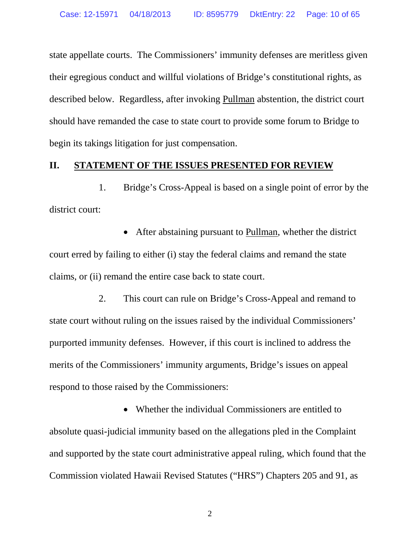state appellate courts. The Commissioners' immunity defenses are meritless given their egregious conduct and willful violations of Bridge's constitutional rights, as described below. Regardless, after invoking Pullman abstention, the district court should have remanded the case to state court to provide some forum to Bridge to begin its takings litigation for just compensation.

#### **II. STATEMENT OF THE ISSUES PRESENTED FOR REVIEW**

1. Bridge's Cross-Appeal is based on a single point of error by the district court:

• After abstaining pursuant to Pullman, whether the district court erred by failing to either (i) stay the federal claims and remand the state claims, or (ii) remand the entire case back to state court.

2. This court can rule on Bridge's Cross-Appeal and remand to state court without ruling on the issues raised by the individual Commissioners' purported immunity defenses. However, if this court is inclined to address the merits of the Commissioners' immunity arguments, Bridge's issues on appeal respond to those raised by the Commissioners:

• Whether the individual Commissioners are entitled to absolute quasi-judicial immunity based on the allegations pled in the Complaint and supported by the state court administrative appeal ruling, which found that the Commission violated Hawaii Revised Statutes ("HRS") Chapters 205 and 91, as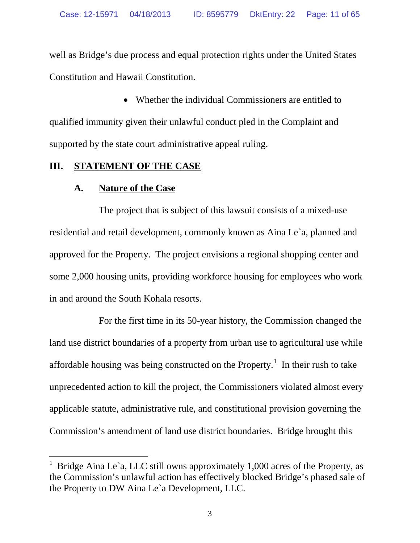well as Bridge's due process and equal protection rights under the United States Constitution and Hawaii Constitution.

• Whether the individual Commissioners are entitled to qualified immunity given their unlawful conduct pled in the Complaint and supported by the state court administrative appeal ruling.

## **III. STATEMENT OF THE CASE**

# **A. Nature of the Case**

The project that is subject of this lawsuit consists of a mixed-use residential and retail development, commonly known as Aina Le`a, planned and approved for the Property. The project envisions a regional shopping center and some 2,000 housing units, providing workforce housing for employees who work in and around the South Kohala resorts.

For the first time in its 50-year history, the Commission changed the land use district boundaries of a property from urban use to agricultural use while affordable housing was being constructed on the Property.<sup>[1](#page-10-0)</sup> In their rush to take unprecedented action to kill the project, the Commissioners violated almost every applicable statute, administrative rule, and constitutional provision governing the Commission's amendment of land use district boundaries. Bridge brought this

<span id="page-10-0"></span>Bridge Aina Le`a, LLC still owns approximately 1,000 acres of the Property, as the Commission's unlawful action has effectively blocked Bridge's phased sale of the Property to DW Aina Le`a Development, LLC.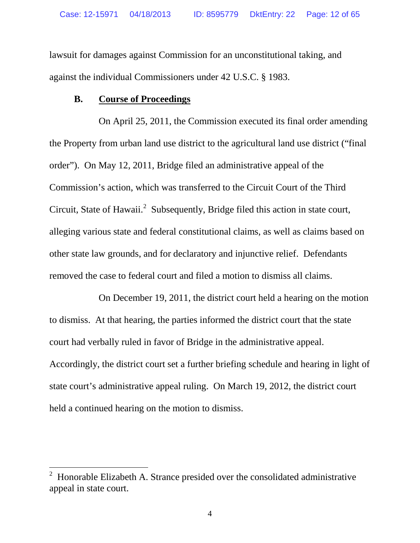lawsuit for damages against Commission for an unconstitutional taking, and against the individual Commissioners under 42 U.S.C. § 1983.

## **B. Course of Proceedings**

On April 25, 2011, the Commission executed its final order amending the Property from urban land use district to the agricultural land use district ("final order"). On May 12, 2011, Bridge filed an administrative appeal of the Commission's action, which was transferred to the Circuit Court of the Third Circuit, State of Hawaii. $^2$  $^2$  Subsequently, Bridge filed this action in state court, alleging various state and federal constitutional claims, as well as claims based on other state law grounds, and for declaratory and injunctive relief. Defendants removed the case to federal court and filed a motion to dismiss all claims.

On December 19, 2011, the district court held a hearing on the motion to dismiss. At that hearing, the parties informed the district court that the state court had verbally ruled in favor of Bridge in the administrative appeal. Accordingly, the district court set a further briefing schedule and hearing in light of state court's administrative appeal ruling. On March 19, 2012, the district court held a continued hearing on the motion to dismiss.

<span id="page-11-0"></span> <sup>2</sup> Honorable Elizabeth A. Strance presided over the consolidated administrative appeal in state court.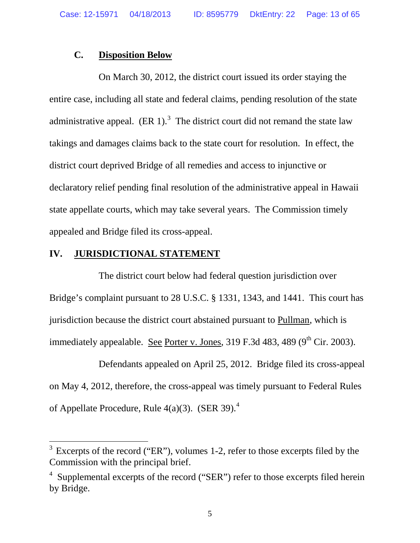## **C. Disposition Below**

On March 30, 2012, the district court issued its order staying the entire case, including all state and federal claims, pending resolution of the state administrative appeal.  $(ER 1)<sup>3</sup>$  $(ER 1)<sup>3</sup>$  $(ER 1)<sup>3</sup>$  The district court did not remand the state law takings and damages claims back to the state court for resolution. In effect, the district court deprived Bridge of all remedies and access to injunctive or declaratory relief pending final resolution of the administrative appeal in Hawaii state appellate courts, which may take several years. The Commission timely appealed and Bridge filed its cross-appeal.

## **IV. JURISDICTIONAL STATEMENT**

The district court below had federal question jurisdiction over Bridge's complaint pursuant to 28 U.S.C. § 1331, 1343, and 1441. This court has jurisdiction because the district court abstained pursuant to Pullman, which is immediately appealable. See Porter v. Jones,  $319$  F.3d 483, 489 (9<sup>th</sup> Cir. 2003).

Defendants appealed on April 25, 2012. Bridge filed its cross-appeal on May 4, 2012, therefore, the cross-appeal was timely pursuant to Federal Rules of Appellate Procedure, Rule  $4(a)(3)$  $4(a)(3)$ . (SER 39).<sup>4</sup>

<span id="page-12-0"></span> $3$  Excerpts of the record ("ER"), volumes 1-2, refer to those excerpts filed by the Commission with the principal brief.

<span id="page-12-1"></span> $4$  Supplemental excerpts of the record ("SER") refer to those excerpts filed herein by Bridge.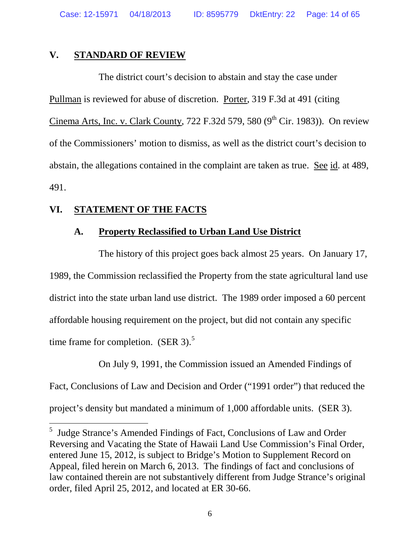Case: 12-15971 04/18/2013 ID: 8595779 DktEntry: 22 Page: 14 of 65

#### **V. STANDARD OF REVIEW**

The district court's decision to abstain and stay the case under Pullman is reviewed for abuse of discretion. Porter, 319 F.3d at 491 (citing Cinema Arts, Inc. v. Clark County, 722 F.32d 579, 580  $(9<sup>th</sup> Cir, 1983)$ ). On review of the Commissioners' motion to dismiss, as well as the district court's decision to abstain, the allegations contained in the complaint are taken as true. See id. at 489, 491.

# **VI. STATEMENT OF THE FACTS**

# **A. Property Reclassified to Urban Land Use District**

The history of this project goes back almost 25 years. On January 17, 1989, the Commission reclassified the Property from the state agricultural land use district into the state urban land use district. The 1989 order imposed a 60 percent affordable housing requirement on the project, but did not contain any specific time frame for completion.  $(SER 3)$ .<sup>[5](#page-13-0)</sup>

On July 9, 1991, the Commission issued an Amended Findings of Fact, Conclusions of Law and Decision and Order ("1991 order") that reduced the project's density but mandated a minimum of 1,000 affordable units. (SER 3).

<span id="page-13-0"></span> <sup>5</sup> Judge Strance's Amended Findings of Fact, Conclusions of Law and Order Reversing and Vacating the State of Hawaii Land Use Commission's Final Order, entered June 15, 2012, is subject to Bridge's Motion to Supplement Record on Appeal, filed herein on March 6, 2013. The findings of fact and conclusions of law contained therein are not substantively different from Judge Strance's original order, filed April 25, 2012, and located at ER 30-66.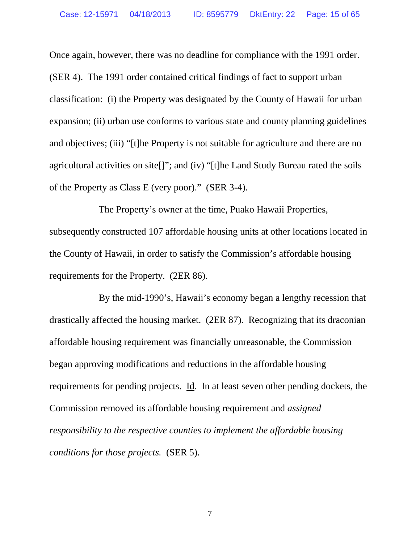Once again, however, there was no deadline for compliance with the 1991 order. (SER 4). The 1991 order contained critical findings of fact to support urban classification: (i) the Property was designated by the County of Hawaii for urban expansion; (ii) urban use conforms to various state and county planning guidelines and objectives; (iii) "[t]he Property is not suitable for agriculture and there are no agricultural activities on site[]"; and (iv) "[t]he Land Study Bureau rated the soils of the Property as Class E (very poor)." (SER 3-4).

The Property's owner at the time, Puako Hawaii Properties, subsequently constructed 107 affordable housing units at other locations located in the County of Hawaii, in order to satisfy the Commission's affordable housing requirements for the Property. (2ER 86).

By the mid-1990's, Hawaii's economy began a lengthy recession that drastically affected the housing market. (2ER 87). Recognizing that its draconian affordable housing requirement was financially unreasonable, the Commission began approving modifications and reductions in the affordable housing requirements for pending projects. Id. In at least seven other pending dockets, the Commission removed its affordable housing requirement and *assigned responsibility to the respective counties to implement the affordable housing conditions for those projects.* (SER 5).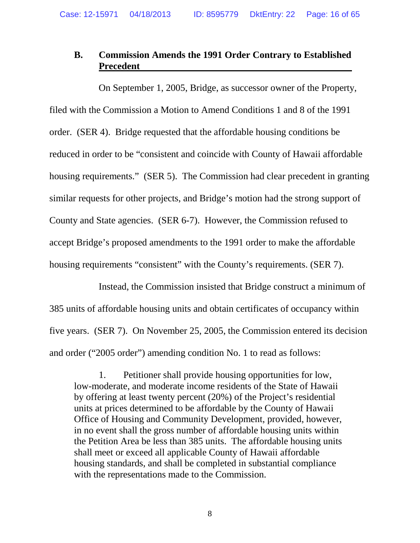# **B. Commission Amends the 1991 Order Contrary to Established Precedent**

On September 1, 2005, Bridge, as successor owner of the Property, filed with the Commission a Motion to Amend Conditions 1 and 8 of the 1991 order. (SER 4). Bridge requested that the affordable housing conditions be reduced in order to be "consistent and coincide with County of Hawaii affordable housing requirements." (SER 5). The Commission had clear precedent in granting similar requests for other projects, and Bridge's motion had the strong support of County and State agencies. (SER 6-7). However, the Commission refused to accept Bridge's proposed amendments to the 1991 order to make the affordable housing requirements "consistent" with the County's requirements. (SER 7).

Instead, the Commission insisted that Bridge construct a minimum of 385 units of affordable housing units and obtain certificates of occupancy within five years. (SER 7). On November 25, 2005, the Commission entered its decision and order ("2005 order") amending condition No. 1 to read as follows:

1. Petitioner shall provide housing opportunities for low, low-moderate, and moderate income residents of the State of Hawaii by offering at least twenty percent (20%) of the Project's residential units at prices determined to be affordable by the County of Hawaii Office of Housing and Community Development, provided, however, in no event shall the gross number of affordable housing units within the Petition Area be less than 385 units. The affordable housing units shall meet or exceed all applicable County of Hawaii affordable housing standards, and shall be completed in substantial compliance with the representations made to the Commission.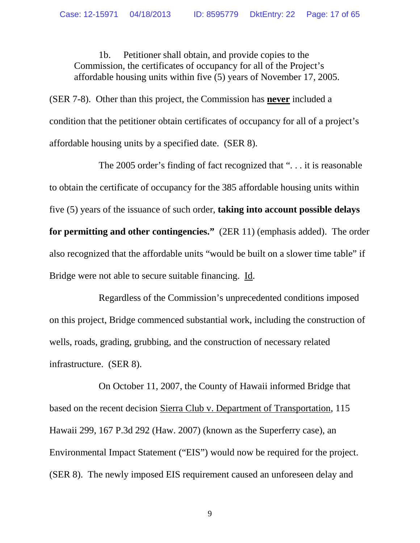1b. Petitioner shall obtain, and provide copies to the Commission, the certificates of occupancy for all of the Project's affordable housing units within five (5) years of November 17, 2005.

(SER 7-8). Other than this project, the Commission has **never** included a condition that the petitioner obtain certificates of occupancy for all of a project's affordable housing units by a specified date. (SER 8).

The 2005 order's finding of fact recognized that ". . . it is reasonable to obtain the certificate of occupancy for the 385 affordable housing units within five (5) years of the issuance of such order, **taking into account possible delays for permitting and other contingencies."** (2ER 11) (emphasis added). The order also recognized that the affordable units "would be built on a slower time table" if Bridge were not able to secure suitable financing. Id.

Regardless of the Commission's unprecedented conditions imposed on this project, Bridge commenced substantial work, including the construction of wells, roads, grading, grubbing, and the construction of necessary related infrastructure. (SER 8).

On October 11, 2007, the County of Hawaii informed Bridge that based on the recent decision Sierra Club v. Department of Transportation, 115 Hawaii 299, 167 P.3d 292 (Haw. 2007) (known as the Superferry case), an Environmental Impact Statement ("EIS") would now be required for the project. (SER 8). The newly imposed EIS requirement caused an unforeseen delay and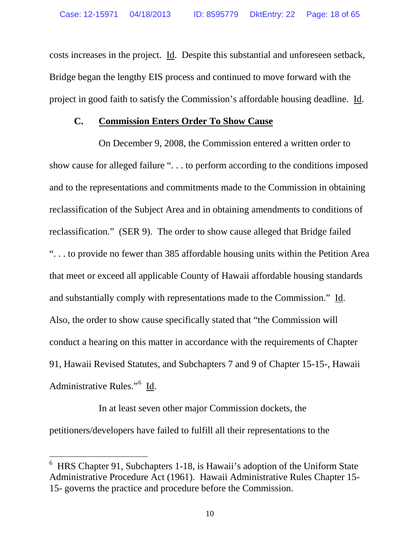costs increases in the project. Id. Despite this substantial and unforeseen setback, Bridge began the lengthy EIS process and continued to move forward with the project in good faith to satisfy the Commission's affordable housing deadline. Id.

#### **C. Commission Enters Order To Show Cause**

On December 9, 2008, the Commission entered a written order to show cause for alleged failure ". . . to perform according to the conditions imposed and to the representations and commitments made to the Commission in obtaining reclassification of the Subject Area and in obtaining amendments to conditions of reclassification." (SER 9). The order to show cause alleged that Bridge failed ". . . to provide no fewer than 385 affordable housing units within the Petition Area that meet or exceed all applicable County of Hawaii affordable housing standards and substantially comply with representations made to the Commission." Id. Also, the order to show cause specifically stated that "the Commission will conduct a hearing on this matter in accordance with the requirements of Chapter 91, Hawaii Revised Statutes, and Subchapters 7 and 9 of Chapter 15-15-, Hawaii Administrative Rules."<sup>[6](#page-17-0)</sup> Id.

In at least seven other major Commission dockets, the petitioners/developers have failed to fulfill all their representations to the

<span id="page-17-0"></span> <sup>6</sup> HRS Chapter 91, Subchapters 1-18, is Hawaii's adoption of the Uniform State Administrative Procedure Act (1961). Hawaii Administrative Rules Chapter 15- 15- governs the practice and procedure before the Commission.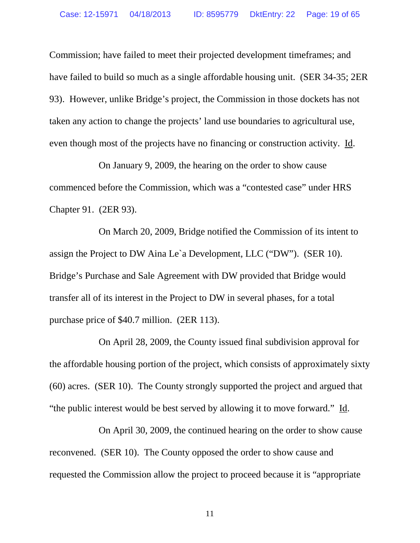Commission; have failed to meet their projected development timeframes; and have failed to build so much as a single affordable housing unit. (SER 34-35; 2ER 93). However, unlike Bridge's project, the Commission in those dockets has not taken any action to change the projects' land use boundaries to agricultural use, even though most of the projects have no financing or construction activity. Id.

On January 9, 2009, the hearing on the order to show cause commenced before the Commission, which was a "contested case" under HRS Chapter 91. (2ER 93).

On March 20, 2009, Bridge notified the Commission of its intent to assign the Project to DW Aina Le`a Development, LLC ("DW"). (SER 10). Bridge's Purchase and Sale Agreement with DW provided that Bridge would transfer all of its interest in the Project to DW in several phases, for a total purchase price of \$40.7 million. (2ER 113).

On April 28, 2009, the County issued final subdivision approval for the affordable housing portion of the project, which consists of approximately sixty (60) acres. (SER 10). The County strongly supported the project and argued that "the public interest would be best served by allowing it to move forward." Id.

On April 30, 2009, the continued hearing on the order to show cause reconvened. (SER 10). The County opposed the order to show cause and requested the Commission allow the project to proceed because it is "appropriate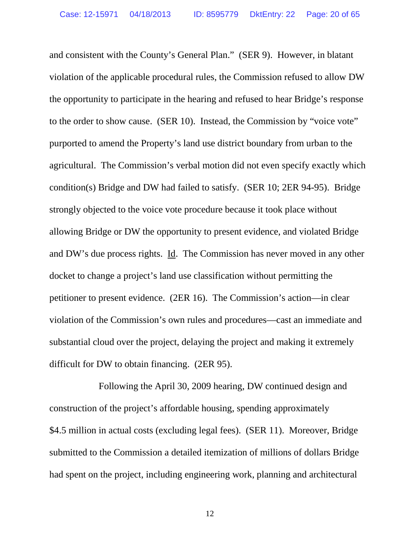and consistent with the County's General Plan." (SER 9). However, in blatant violation of the applicable procedural rules, the Commission refused to allow DW the opportunity to participate in the hearing and refused to hear Bridge's response to the order to show cause. (SER 10). Instead, the Commission by "voice vote" purported to amend the Property's land use district boundary from urban to the agricultural. The Commission's verbal motion did not even specify exactly which condition(s) Bridge and DW had failed to satisfy. (SER 10; 2ER 94-95). Bridge strongly objected to the voice vote procedure because it took place without allowing Bridge or DW the opportunity to present evidence, and violated Bridge and DW's due process rights. Id. The Commission has never moved in any other docket to change a project's land use classification without permitting the petitioner to present evidence. (2ER 16). The Commission's action—in clear violation of the Commission's own rules and procedures—cast an immediate and substantial cloud over the project, delaying the project and making it extremely difficult for DW to obtain financing. (2ER 95).

Following the April 30, 2009 hearing, DW continued design and construction of the project's affordable housing, spending approximately \$4.5 million in actual costs (excluding legal fees). (SER 11). Moreover, Bridge submitted to the Commission a detailed itemization of millions of dollars Bridge had spent on the project, including engineering work, planning and architectural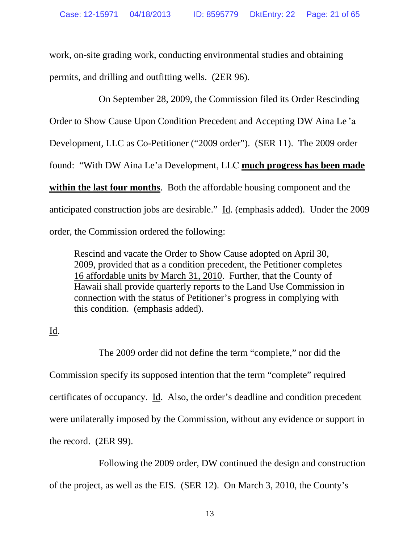work, on-site grading work, conducting environmental studies and obtaining permits, and drilling and outfitting wells. (2ER 96).

On September 28, 2009, the Commission filed its Order Rescinding Order to Show Cause Upon Condition Precedent and Accepting DW Aina Le 'a Development, LLC as Co-Petitioner ("2009 order"). (SER 11). The 2009 order found: "With DW Aina Le'a Development, LLC **much progress has been made within the last four months**. Both the affordable housing component and the anticipated construction jobs are desirable." Id. (emphasis added). Under the 2009 order, the Commission ordered the following:

Rescind and vacate the Order to Show Cause adopted on April 30, 2009, provided that as a condition precedent, the Petitioner completes 16 affordable units by March 31, 2010. Further, that the County of Hawaii shall provide quarterly reports to the Land Use Commission in connection with the status of Petitioner's progress in complying with this condition. (emphasis added).

# Id.

The 2009 order did not define the term "complete," nor did the Commission specify its supposed intention that the term "complete" required certificates of occupancy. Id. Also, the order's deadline and condition precedent were unilaterally imposed by the Commission, without any evidence or support in the record. (2ER 99).

Following the 2009 order, DW continued the design and construction of the project, as well as the EIS. (SER 12). On March 3, 2010, the County's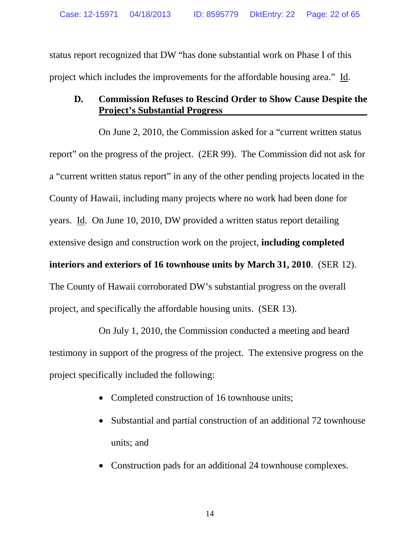status report recognized that DW "has done substantial work on Phase I of this project which includes the improvements for the affordable housing area." Id.

# **D. Commission Refuses to Rescind Order to Show Cause Despite the Project's Substantial Progress**

On June 2, 2010, the Commission asked for a "current written status report" on the progress of the project. (2ER 99). The Commission did not ask for a "current written status report" in any of the other pending projects located in the County of Hawaii, including many projects where no work had been done for years. Id. On June 10, 2010, DW provided a written status report detailing extensive design and construction work on the project, **including completed interiors and exteriors of 16 townhouse units by March 31, 2010**. (SER 12). The County of Hawaii corroborated DW's substantial progress on the overall project, and specifically the affordable housing units. (SER 13).

On July 1, 2010, the Commission conducted a meeting and heard testimony in support of the progress of the project. The extensive progress on the project specifically included the following:

- Completed construction of 16 townhouse units;
- Substantial and partial construction of an additional 72 townhouse units; and
- Construction pads for an additional 24 townhouse complexes.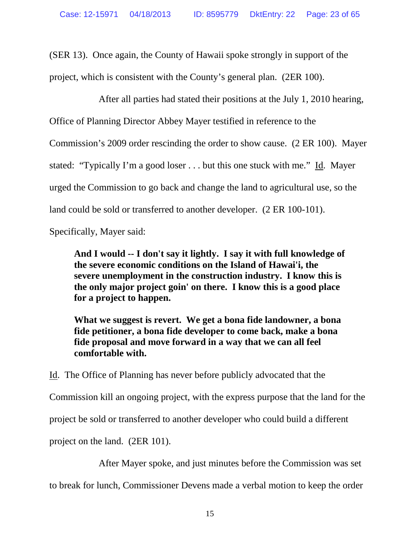(SER 13). Once again, the County of Hawaii spoke strongly in support of the project, which is consistent with the County's general plan. (2ER 100).

After all parties had stated their positions at the July 1, 2010 hearing, Office of Planning Director Abbey Mayer testified in reference to the Commission's 2009 order rescinding the order to show cause. (2 ER 100). Mayer stated: "Typically I'm a good loser . . . but this one stuck with me." Id. Mayer urged the Commission to go back and change the land to agricultural use, so the land could be sold or transferred to another developer. (2 ER 100-101).

Specifically, Mayer said:

**And I would -- I don't say it lightly. I say it with full knowledge of the severe economic conditions on the Island of Hawai'i, the severe unemployment in the construction industry. I know this is the only major project goin' on there. I know this is a good place for a project to happen.** 

**What we suggest is revert. We get a bona fide landowner, a bona fide petitioner, a bona fide developer to come back, make a bona fide proposal and move forward in a way that we can all feel comfortable with.**

Id. The Office of Planning has never before publicly advocated that the Commission kill an ongoing project, with the express purpose that the land for the project be sold or transferred to another developer who could build a different project on the land. (2ER 101).

After Mayer spoke, and just minutes before the Commission was set

to break for lunch, Commissioner Devens made a verbal motion to keep the order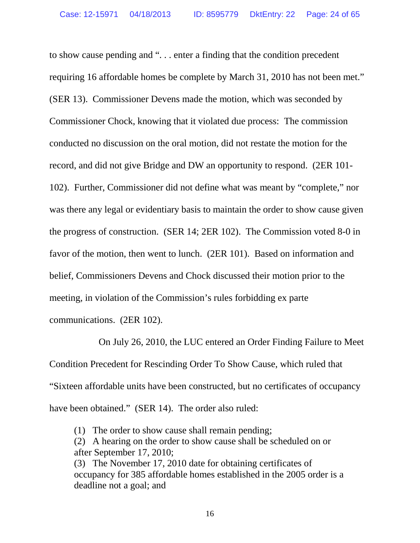to show cause pending and ". . . enter a finding that the condition precedent requiring 16 affordable homes be complete by March 31, 2010 has not been met." (SER 13). Commissioner Devens made the motion, which was seconded by Commissioner Chock, knowing that it violated due process: The commission conducted no discussion on the oral motion, did not restate the motion for the record, and did not give Bridge and DW an opportunity to respond. (2ER 101- 102). Further, Commissioner did not define what was meant by "complete," nor was there any legal or evidentiary basis to maintain the order to show cause given the progress of construction. (SER 14; 2ER 102). The Commission voted 8-0 in favor of the motion, then went to lunch. (2ER 101). Based on information and belief, Commissioners Devens and Chock discussed their motion prior to the meeting, in violation of the Commission's rules forbidding ex parte communications. (2ER 102).

On July 26, 2010, the LUC entered an Order Finding Failure to Meet Condition Precedent for Rescinding Order To Show Cause, which ruled that "Sixteen affordable units have been constructed, but no certificates of occupancy have been obtained." (SER 14). The order also ruled:

(1) The order to show cause shall remain pending;

(2) A hearing on the order to show cause shall be scheduled on or after September 17, 2010;

(3) The November 17, 2010 date for obtaining certificates of occupancy for 385 affordable homes established in the 2005 order is a deadline not a goal; and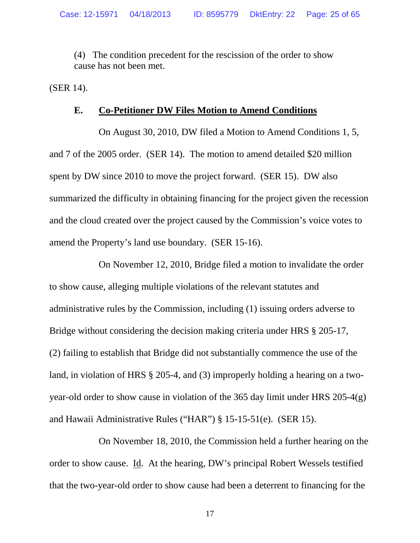(4) The condition precedent for the rescission of the order to show cause has not been met.

(SER 14).

## **E. Co-Petitioner DW Files Motion to Amend Conditions**

On August 30, 2010, DW filed a Motion to Amend Conditions 1, 5, and 7 of the 2005 order. (SER 14). The motion to amend detailed \$20 million spent by DW since 2010 to move the project forward. (SER 15). DW also summarized the difficulty in obtaining financing for the project given the recession and the cloud created over the project caused by the Commission's voice votes to amend the Property's land use boundary. (SER 15-16).

On November 12, 2010, Bridge filed a motion to invalidate the order to show cause, alleging multiple violations of the relevant statutes and administrative rules by the Commission, including (1) issuing orders adverse to Bridge without considering the decision making criteria under HRS § 205-17, (2) failing to establish that Bridge did not substantially commence the use of the land, in violation of HRS § 205-4, and (3) improperly holding a hearing on a twoyear-old order to show cause in violation of the 365 day limit under HRS 205-4(g) and Hawaii Administrative Rules ("HAR") § 15-15-51(e). (SER 15).

On November 18, 2010, the Commission held a further hearing on the order to show cause. Id. At the hearing, DW's principal Robert Wessels testified that the two-year-old order to show cause had been a deterrent to financing for the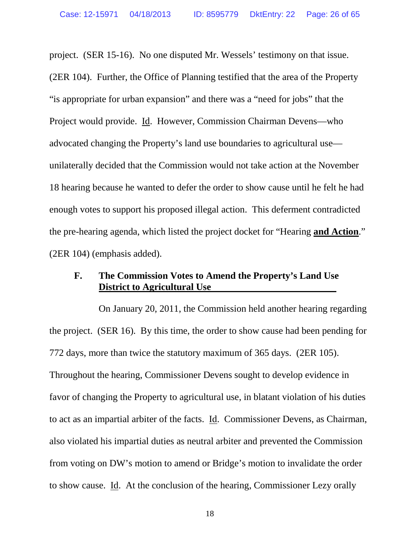project. (SER 15-16). No one disputed Mr. Wessels' testimony on that issue. (2ER 104). Further, the Office of Planning testified that the area of the Property "is appropriate for urban expansion" and there was a "need for jobs" that the Project would provide. Id. However, Commission Chairman Devens—who advocated changing the Property's land use boundaries to agricultural use unilaterally decided that the Commission would not take action at the November 18 hearing because he wanted to defer the order to show cause until he felt he had enough votes to support his proposed illegal action. This deferment contradicted the pre-hearing agenda, which listed the project docket for "Hearing **and Action**." (2ER 104) (emphasis added).

# **F. The Commission Votes to Amend the Property's Land Use District to Agricultural Use**

On January 20, 2011, the Commission held another hearing regarding the project. (SER 16). By this time, the order to show cause had been pending for 772 days, more than twice the statutory maximum of 365 days. (2ER 105). Throughout the hearing, Commissioner Devens sought to develop evidence in favor of changing the Property to agricultural use, in blatant violation of his duties to act as an impartial arbiter of the facts. Id. Commissioner Devens, as Chairman, also violated his impartial duties as neutral arbiter and prevented the Commission from voting on DW's motion to amend or Bridge's motion to invalidate the order to show cause. Id. At the conclusion of the hearing, Commissioner Lezy orally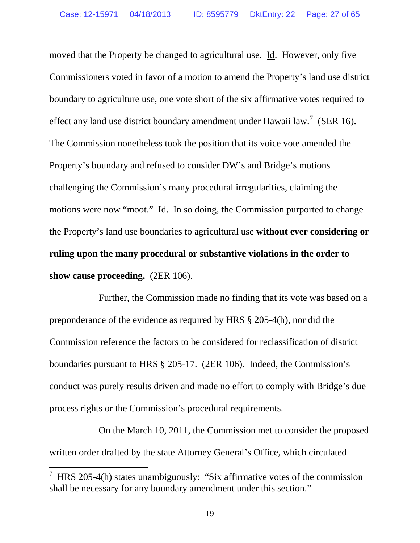moved that the Property be changed to agricultural use. Id. However, only five Commissioners voted in favor of a motion to amend the Property's land use district boundary to agriculture use, one vote short of the six affirmative votes required to effect any land use district boundary amendment under Hawaii law.<sup>[7](#page-26-0)</sup> (SER 16). The Commission nonetheless took the position that its voice vote amended the Property's boundary and refused to consider DW's and Bridge's motions challenging the Commission's many procedural irregularities, claiming the motions were now "moot." Id. In so doing, the Commission purported to change the Property's land use boundaries to agricultural use **without ever considering or ruling upon the many procedural or substantive violations in the order to show cause proceeding.** (2ER 106).

Further, the Commission made no finding that its vote was based on a preponderance of the evidence as required by HRS § 205-4(h), nor did the Commission reference the factors to be considered for reclassification of district boundaries pursuant to HRS § 205-17. (2ER 106). Indeed, the Commission's conduct was purely results driven and made no effort to comply with Bridge's due process rights or the Commission's procedural requirements.

On the March 10, 2011, the Commission met to consider the proposed written order drafted by the state Attorney General's Office, which circulated

<span id="page-26-0"></span> <sup>7</sup> HRS 205-4(h) states unambiguously: "Six affirmative votes of the commission shall be necessary for any boundary amendment under this section."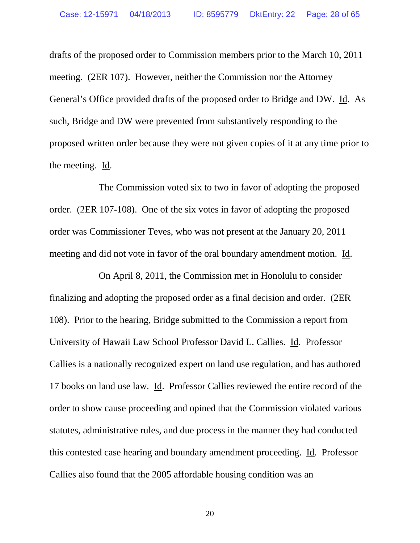drafts of the proposed order to Commission members prior to the March 10, 2011 meeting. (2ER 107). However, neither the Commission nor the Attorney General's Office provided drafts of the proposed order to Bridge and DW. Id. As such, Bridge and DW were prevented from substantively responding to the proposed written order because they were not given copies of it at any time prior to the meeting. Id.

The Commission voted six to two in favor of adopting the proposed order. (2ER 107-108). One of the six votes in favor of adopting the proposed order was Commissioner Teves, who was not present at the January 20, 2011 meeting and did not vote in favor of the oral boundary amendment motion. Id.

On April 8, 2011, the Commission met in Honolulu to consider finalizing and adopting the proposed order as a final decision and order. (2ER 108). Prior to the hearing, Bridge submitted to the Commission a report from University of Hawaii Law School Professor David L. Callies. Id. Professor Callies is a nationally recognized expert on land use regulation, and has authored 17 books on land use law. Id. Professor Callies reviewed the entire record of the order to show cause proceeding and opined that the Commission violated various statutes, administrative rules, and due process in the manner they had conducted this contested case hearing and boundary amendment proceeding. Id. Professor Callies also found that the 2005 affordable housing condition was an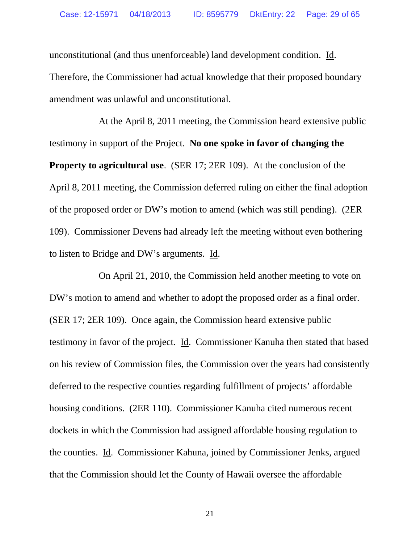unconstitutional (and thus unenforceable) land development condition. Id. Therefore, the Commissioner had actual knowledge that their proposed boundary amendment was unlawful and unconstitutional.

At the April 8, 2011 meeting, the Commission heard extensive public testimony in support of the Project. **No one spoke in favor of changing the Property to agricultural use**. (SER 17; 2ER 109). At the conclusion of the April 8, 2011 meeting, the Commission deferred ruling on either the final adoption of the proposed order or DW's motion to amend (which was still pending). (2ER 109). Commissioner Devens had already left the meeting without even bothering to listen to Bridge and DW's arguments. Id.

On April 21, 2010, the Commission held another meeting to vote on DW's motion to amend and whether to adopt the proposed order as a final order. (SER 17; 2ER 109). Once again, the Commission heard extensive public testimony in favor of the project. Id. Commissioner Kanuha then stated that based on his review of Commission files, the Commission over the years had consistently deferred to the respective counties regarding fulfillment of projects' affordable housing conditions. (2ER 110). Commissioner Kanuha cited numerous recent dockets in which the Commission had assigned affordable housing regulation to the counties. Id. Commissioner Kahuna, joined by Commissioner Jenks, argued that the Commission should let the County of Hawaii oversee the affordable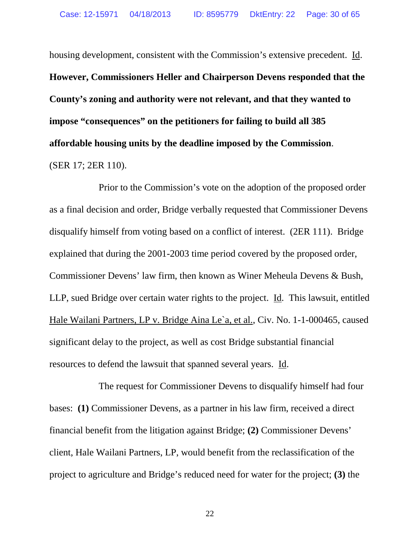housing development, consistent with the Commission's extensive precedent. Id. **However, Commissioners Heller and Chairperson Devens responded that the County's zoning and authority were not relevant, and that they wanted to impose "consequences" on the petitioners for failing to build all 385 affordable housing units by the deadline imposed by the Commission**. (SER 17; 2ER 110).

Prior to the Commission's vote on the adoption of the proposed order as a final decision and order, Bridge verbally requested that Commissioner Devens disqualify himself from voting based on a conflict of interest. (2ER 111). Bridge explained that during the 2001-2003 time period covered by the proposed order, Commissioner Devens' law firm, then known as Winer Meheula Devens & Bush, LLP, sued Bridge over certain water rights to the project. Id. This lawsuit, entitled Hale Wailani Partners, LP v. Bridge Aina Le`a, et al., Civ. No. 1-1-000465, caused significant delay to the project, as well as cost Bridge substantial financial resources to defend the lawsuit that spanned several years. Id.

The request for Commissioner Devens to disqualify himself had four bases: **(1)** Commissioner Devens, as a partner in his law firm, received a direct financial benefit from the litigation against Bridge; **(2)** Commissioner Devens' client, Hale Wailani Partners, LP, would benefit from the reclassification of the project to agriculture and Bridge's reduced need for water for the project; **(3)** the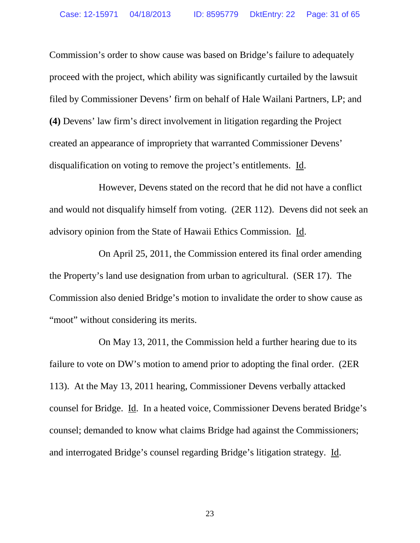Commission's order to show cause was based on Bridge's failure to adequately proceed with the project, which ability was significantly curtailed by the lawsuit filed by Commissioner Devens' firm on behalf of Hale Wailani Partners, LP; and **(4)** Devens' law firm's direct involvement in litigation regarding the Project created an appearance of impropriety that warranted Commissioner Devens' disqualification on voting to remove the project's entitlements. Id.

However, Devens stated on the record that he did not have a conflict and would not disqualify himself from voting. (2ER 112). Devens did not seek an advisory opinion from the State of Hawaii Ethics Commission. Id.

On April 25, 2011, the Commission entered its final order amending the Property's land use designation from urban to agricultural. (SER 17). The Commission also denied Bridge's motion to invalidate the order to show cause as "moot" without considering its merits.

On May 13, 2011, the Commission held a further hearing due to its failure to vote on DW's motion to amend prior to adopting the final order. (2ER 113). At the May 13, 2011 hearing, Commissioner Devens verbally attacked counsel for Bridge. Id. In a heated voice, Commissioner Devens berated Bridge's counsel; demanded to know what claims Bridge had against the Commissioners; and interrogated Bridge's counsel regarding Bridge's litigation strategy. Id.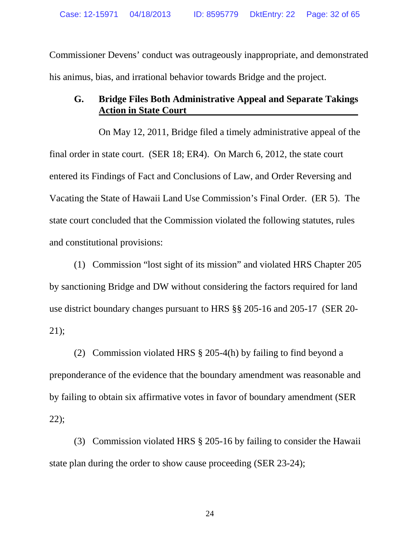Commissioner Devens' conduct was outrageously inappropriate, and demonstrated his animus, bias, and irrational behavior towards Bridge and the project.

# **G. Bridge Files Both Administrative Appeal and Separate Takings Action in State Court**

On May 12, 2011, Bridge filed a timely administrative appeal of the final order in state court. (SER 18; ER4). On March 6, 2012, the state court entered its Findings of Fact and Conclusions of Law, and Order Reversing and Vacating the State of Hawaii Land Use Commission's Final Order. (ER 5). The state court concluded that the Commission violated the following statutes, rules and constitutional provisions:

(1) Commission "lost sight of its mission" and violated HRS Chapter 205 by sanctioning Bridge and DW without considering the factors required for land use district boundary changes pursuant to HRS §§ 205-16 and 205-17 (SER 20- 21);

(2) Commission violated HRS § 205-4(h) by failing to find beyond a preponderance of the evidence that the boundary amendment was reasonable and by failing to obtain six affirmative votes in favor of boundary amendment (SER 22);

(3) Commission violated HRS § 205-16 by failing to consider the Hawaii state plan during the order to show cause proceeding (SER 23-24);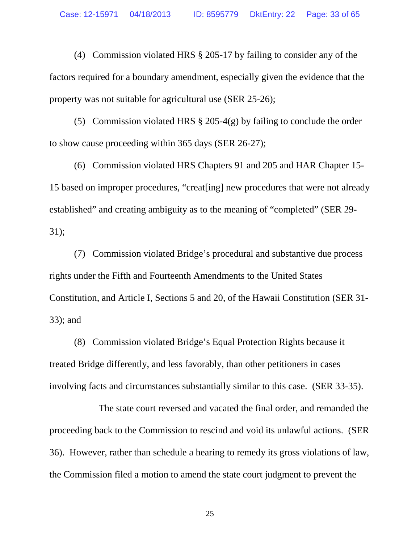(4) Commission violated HRS § 205-17 by failing to consider any of the factors required for a boundary amendment, especially given the evidence that the property was not suitable for agricultural use (SER 25-26);

(5) Commission violated HRS  $\S 205-4(g)$  by failing to conclude the order to show cause proceeding within 365 days (SER 26-27);

(6) Commission violated HRS Chapters 91 and 205 and HAR Chapter 15- 15 based on improper procedures, "creat[ing] new procedures that were not already established" and creating ambiguity as to the meaning of "completed" (SER 29- 31);

(7) Commission violated Bridge's procedural and substantive due process rights under the Fifth and Fourteenth Amendments to the United States Constitution, and Article I, Sections 5 and 20, of the Hawaii Constitution (SER 31- 33); and

(8) Commission violated Bridge's Equal Protection Rights because it treated Bridge differently, and less favorably, than other petitioners in cases involving facts and circumstances substantially similar to this case. (SER 33-35).

The state court reversed and vacated the final order, and remanded the proceeding back to the Commission to rescind and void its unlawful actions. (SER 36). However, rather than schedule a hearing to remedy its gross violations of law, the Commission filed a motion to amend the state court judgment to prevent the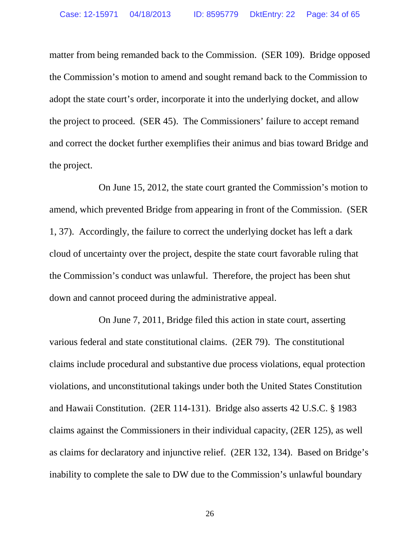matter from being remanded back to the Commission. (SER 109). Bridge opposed the Commission's motion to amend and sought remand back to the Commission to adopt the state court's order, incorporate it into the underlying docket, and allow the project to proceed. (SER 45). The Commissioners' failure to accept remand and correct the docket further exemplifies their animus and bias toward Bridge and the project.

On June 15, 2012, the state court granted the Commission's motion to amend, which prevented Bridge from appearing in front of the Commission. (SER 1, 37). Accordingly, the failure to correct the underlying docket has left a dark cloud of uncertainty over the project, despite the state court favorable ruling that the Commission's conduct was unlawful. Therefore, the project has been shut down and cannot proceed during the administrative appeal.

On June 7, 2011, Bridge filed this action in state court, asserting various federal and state constitutional claims. (2ER 79). The constitutional claims include procedural and substantive due process violations, equal protection violations, and unconstitutional takings under both the United States Constitution and Hawaii Constitution. (2ER 114-131). Bridge also asserts 42 U.S.C. § 1983 claims against the Commissioners in their individual capacity, (2ER 125), as well as claims for declaratory and injunctive relief. (2ER 132, 134). Based on Bridge's inability to complete the sale to DW due to the Commission's unlawful boundary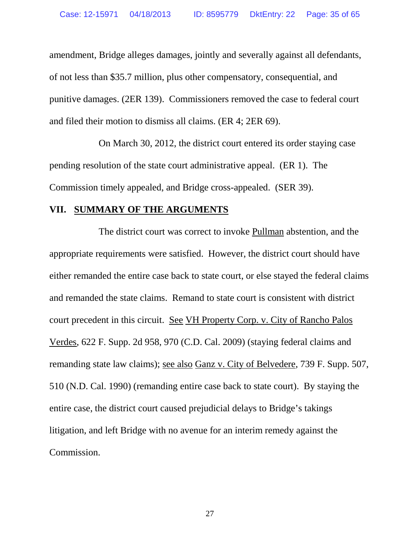amendment, Bridge alleges damages, jointly and severally against all defendants, of not less than \$35.7 million, plus other compensatory, consequential, and punitive damages. (2ER 139). Commissioners removed the case to federal court and filed their motion to dismiss all claims. (ER 4; 2ER 69).

On March 30, 2012, the district court entered its order staying case pending resolution of the state court administrative appeal. (ER 1). The Commission timely appealed, and Bridge cross-appealed. (SER 39).

#### **VII. SUMMARY OF THE ARGUMENTS**

The district court was correct to invoke Pullman abstention, and the appropriate requirements were satisfied. However, the district court should have either remanded the entire case back to state court, or else stayed the federal claims and remanded the state claims. Remand to state court is consistent with district court precedent in this circuit. See VH Property Corp. v. City of Rancho Palos Verdes, 622 F. Supp. 2d 958, 970 (C.D. Cal. 2009) (staying federal claims and remanding state law claims); see also Ganz v. City of Belvedere, 739 F. Supp. 507, 510 (N.D. Cal. 1990) (remanding entire case back to state court). By staying the entire case, the district court caused prejudicial delays to Bridge's takings litigation, and left Bridge with no avenue for an interim remedy against the Commission.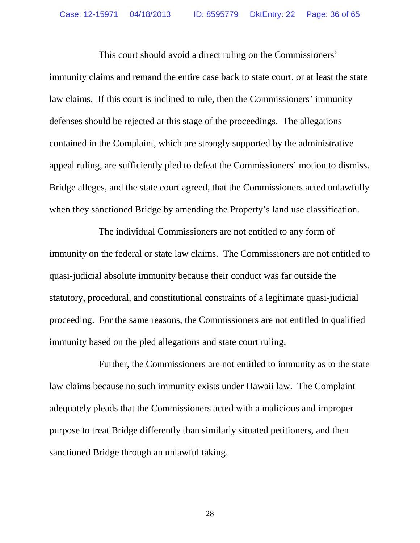This court should avoid a direct ruling on the Commissioners' immunity claims and remand the entire case back to state court, or at least the state law claims. If this court is inclined to rule, then the Commissioners' immunity defenses should be rejected at this stage of the proceedings. The allegations contained in the Complaint, which are strongly supported by the administrative appeal ruling, are sufficiently pled to defeat the Commissioners' motion to dismiss. Bridge alleges, and the state court agreed, that the Commissioners acted unlawfully when they sanctioned Bridge by amending the Property's land use classification.

The individual Commissioners are not entitled to any form of immunity on the federal or state law claims. The Commissioners are not entitled to quasi-judicial absolute immunity because their conduct was far outside the statutory, procedural, and constitutional constraints of a legitimate quasi-judicial proceeding. For the same reasons, the Commissioners are not entitled to qualified immunity based on the pled allegations and state court ruling.

Further, the Commissioners are not entitled to immunity as to the state law claims because no such immunity exists under Hawaii law. The Complaint adequately pleads that the Commissioners acted with a malicious and improper purpose to treat Bridge differently than similarly situated petitioners, and then sanctioned Bridge through an unlawful taking.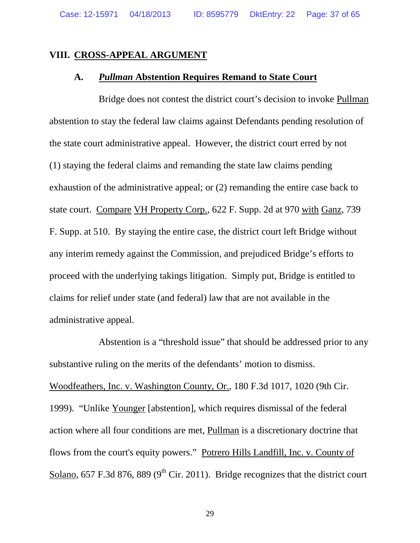## **VIII. CROSS-APPEAL ARGUMENT**

#### **A.** *Pullman* **Abstention Requires Remand to State Court**

Bridge does not contest the district court's decision to invoke Pullman abstention to stay the federal law claims against Defendants pending resolution of the state court administrative appeal. However, the district court erred by not (1) staying the federal claims and remanding the state law claims pending exhaustion of the administrative appeal; or (2) remanding the entire case back to state court. Compare VH Property Corp., 622 F. Supp. 2d at 970 with Ganz, 739 F. Supp. at 510. By staying the entire case, the district court left Bridge without any interim remedy against the Commission, and prejudiced Bridge's efforts to proceed with the underlying takings litigation. Simply put, Bridge is entitled to claims for relief under state (and federal) law that are not available in the administrative appeal.

Abstention is a "threshold issue" that should be addressed prior to any substantive ruling on the merits of the defendants' motion to dismiss. Woodfeathers, Inc. v. Washington County, Or., 180 F.3d 1017, 1020 (9th Cir. 1999). "Unlike Younger [abstention], which requires dismissal of the federal action where all four conditions are met, Pullman is a discretionary doctrine that flows from the court's equity powers." Potrero Hills Landfill, Inc. v. County of Solano, 657 F.3d 876, 889 ( $9<sup>th</sup>$  Cir. 2011). Bridge recognizes that the district court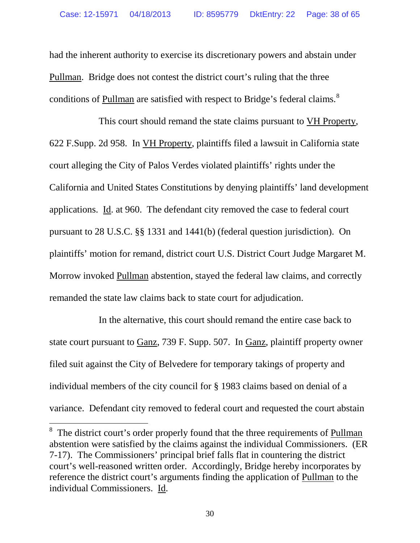had the inherent authority to exercise its discretionary powers and abstain under Pullman. Bridge does not contest the district court's ruling that the three conditions of Pullman are satisfied with respect to Bridge's federal claims.<sup>[8](#page-37-0)</sup>

This court should remand the state claims pursuant to VH Property, 622 F.Supp. 2d 958. In VH Property, plaintiffs filed a lawsuit in California state court alleging the City of Palos Verdes violated plaintiffs' rights under the California and United States Constitutions by denying plaintiffs' land development applications. Id. at 960. The defendant city removed the case to federal court pursuant to 28 U.S.C. §§ 1331 and 1441(b) (federal question jurisdiction). On plaintiffs' motion for remand, district court U.S. District Court Judge Margaret M. Morrow invoked Pullman abstention, stayed the federal law claims, and correctly remanded the state law claims back to state court for adjudication.

In the alternative, this court should remand the entire case back to state court pursuant to Ganz, 739 F. Supp. 507. In Ganz, plaintiff property owner filed suit against the City of Belvedere for temporary takings of property and individual members of the city council for § 1983 claims based on denial of a variance. Defendant city removed to federal court and requested the court abstain

<span id="page-37-0"></span><sup>&</sup>lt;sup>8</sup> The district court's order properly found that the three requirements of Pullman abstention were satisfied by the claims against the individual Commissioners. (ER 7-17). The Commissioners' principal brief falls flat in countering the district court's well-reasoned written order. Accordingly, Bridge hereby incorporates by reference the district court's arguments finding the application of Pullman to the individual Commissioners. Id.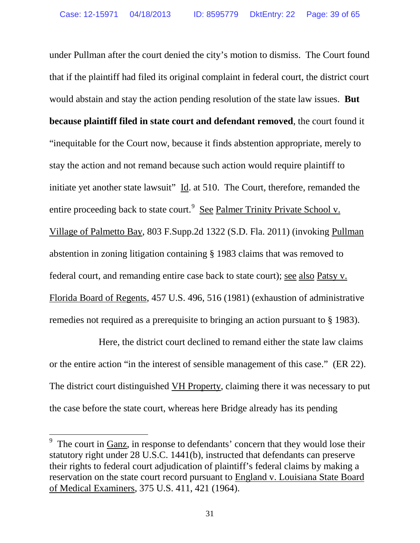under Pullman after the court denied the city's motion to dismiss. The Court found that if the plaintiff had filed its original complaint in federal court, the district court would abstain and stay the action pending resolution of the state law issues. **But because plaintiff filed in state court and defendant removed**, the court found it "inequitable for the Court now, because it finds abstention appropriate, merely to stay the action and not remand because such action would require plaintiff to initiate yet another state lawsuit"  $\underline{Id}$ . at 510. The Court, therefore, remanded the entire proceeding back to state court.<sup>[9](#page-38-0)</sup> See Palmer Trinity Private School v. Village of Palmetto Bay, 803 F.Supp.2d 1322 (S.D. Fla. 2011) (invoking Pullman abstention in zoning litigation containing § 1983 claims that was removed to federal court, and remanding entire case back to state court); see also Patsy v. Florida Board of Regents, 457 U.S. 496, 516 (1981) (exhaustion of administrative remedies not required as a prerequisite to bringing an action pursuant to § 1983).

Here, the district court declined to remand either the state law claims or the entire action "in the interest of sensible management of this case." (ER 22). The district court distinguished VH Property, claiming there it was necessary to put the case before the state court, whereas here Bridge already has its pending

<span id="page-38-0"></span>The court in Ganz, in response to defendants' concern that they would lose their statutory right under 28 U.S.C. 1441(b), instructed that defendants can preserve their rights to federal court adjudication of plaintiff's federal claims by making a reservation on the state court record pursuant to England v. Louisiana State Board of Medical Examiners, 375 U.S. 411, 421 (1964).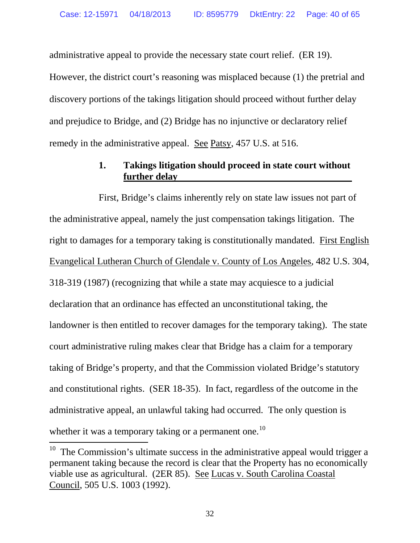administrative appeal to provide the necessary state court relief. (ER 19). However, the district court's reasoning was misplaced because (1) the pretrial and discovery portions of the takings litigation should proceed without further delay and prejudice to Bridge, and (2) Bridge has no injunctive or declaratory relief remedy in the administrative appeal. See Patsy, 457 U.S. at 516.

# **1. Takings litigation should proceed in state court without further delay**

First, Bridge's claims inherently rely on state law issues not part of the administrative appeal, namely the just compensation takings litigation. The right to damages for a temporary taking is constitutionally mandated. First English Evangelical Lutheran Church of Glendale v. County of Los Angeles*,* 482 U.S. 304, 318-319 (1987) (recognizing that while a state may acquiesce to a judicial declaration that an ordinance has effected an unconstitutional taking, the landowner is then entitled to recover damages for the temporary taking). The state court administrative ruling makes clear that Bridge has a claim for a temporary taking of Bridge's property, and that the Commission violated Bridge's statutory and constitutional rights. (SER 18-35). In fact, regardless of the outcome in the administrative appeal, an unlawful taking had occurred. The only question is whether it was a temporary taking or a permanent one.<sup>[10](#page-39-0)</sup>

<span id="page-39-0"></span> $10$  The Commission's ultimate success in the administrative appeal would trigger a permanent taking because the record is clear that the Property has no economically viable use as agricultural. (2ER 85). See Lucas v. South Carolina Coastal Council, 505 U.S. 1003 (1992).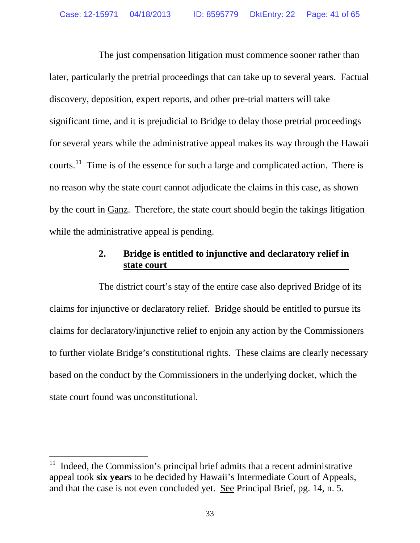The just compensation litigation must commence sooner rather than later, particularly the pretrial proceedings that can take up to several years. Factual discovery, deposition, expert reports, and other pre-trial matters will take significant time, and it is prejudicial to Bridge to delay those pretrial proceedings for several years while the administrative appeal makes its way through the Hawaii courts.<sup>[11](#page-40-0)</sup> Time is of the essence for such a large and complicated action. There is no reason why the state court cannot adjudicate the claims in this case, as shown by the court in Ganz. Therefore, the state court should begin the takings litigation while the administrative appeal is pending.

# **2. Bridge is entitled to injunctive and declaratory relief in state court**

The district court's stay of the entire case also deprived Bridge of its claims for injunctive or declaratory relief. Bridge should be entitled to pursue its claims for declaratory/injunctive relief to enjoin any action by the Commissioners to further violate Bridge's constitutional rights. These claims are clearly necessary based on the conduct by the Commissioners in the underlying docket, which the state court found was unconstitutional.

<span id="page-40-0"></span> <sup>11</sup> Indeed, the Commission's principal brief admits that a recent administrative appeal took **six years** to be decided by Hawaii's Intermediate Court of Appeals, and that the case is not even concluded yet. See Principal Brief, pg. 14, n. 5.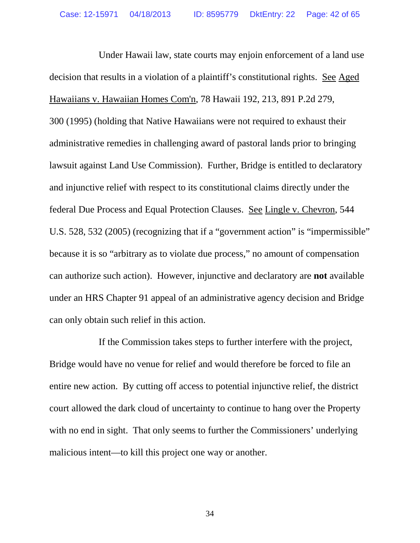Under Hawaii law, state courts may enjoin enforcement of a land use decision that results in a violation of a plaintiff's constitutional rights. See Aged Hawaiians v. Hawaiian Homes Com'n, 78 Hawaii 192, 213, 891 P.2d 279, 300 (1995) (holding that Native Hawaiians were not required to exhaust their administrative remedies in challenging award of pastoral lands prior to bringing lawsuit against Land Use Commission). Further, Bridge is entitled to declaratory and injunctive relief with respect to its constitutional claims directly under the federal Due Process and Equal Protection Clauses. See Lingle v. Chevron, 544 U.S. 528, 532 (2005) (recognizing that if a "government action" is "impermissible" because it is so "arbitrary as to violate due process," no amount of compensation can authorize such action). However, injunctive and declaratory are **not** available under an HRS Chapter 91 appeal of an administrative agency decision and Bridge can only obtain such relief in this action.

If the Commission takes steps to further interfere with the project, Bridge would have no venue for relief and would therefore be forced to file an entire new action. By cutting off access to potential injunctive relief, the district court allowed the dark cloud of uncertainty to continue to hang over the Property with no end in sight. That only seems to further the Commissioners' underlying malicious intent—to kill this project one way or another.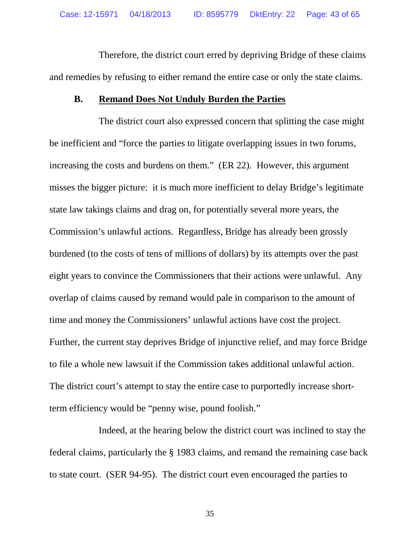Therefore, the district court erred by depriving Bridge of these claims and remedies by refusing to either remand the entire case or only the state claims.

#### **B. Remand Does Not Unduly Burden the Parties**

The district court also expressed concern that splitting the case might be inefficient and "force the parties to litigate overlapping issues in two forums, increasing the costs and burdens on them." (ER 22). However, this argument misses the bigger picture: it is much more inefficient to delay Bridge's legitimate state law takings claims and drag on, for potentially several more years, the Commission's unlawful actions. Regardless, Bridge has already been grossly burdened (to the costs of tens of millions of dollars) by its attempts over the past eight years to convince the Commissioners that their actions were unlawful. Any overlap of claims caused by remand would pale in comparison to the amount of time and money the Commissioners' unlawful actions have cost the project. Further, the current stay deprives Bridge of injunctive relief, and may force Bridge to file a whole new lawsuit if the Commission takes additional unlawful action. The district court's attempt to stay the entire case to purportedly increase shortterm efficiency would be "penny wise, pound foolish."

Indeed, at the hearing below the district court was inclined to stay the federal claims, particularly the § 1983 claims, and remand the remaining case back to state court. (SER 94-95). The district court even encouraged the parties to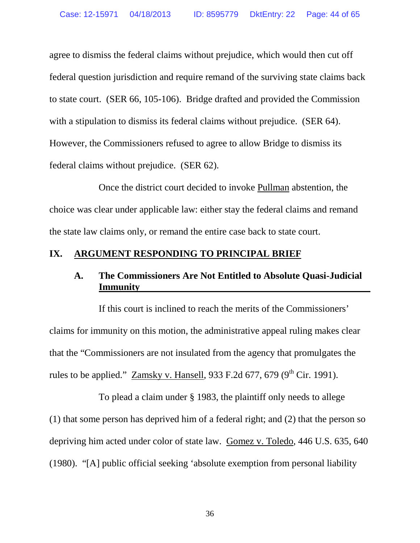agree to dismiss the federal claims without prejudice, which would then cut off federal question jurisdiction and require remand of the surviving state claims back to state court. (SER 66, 105-106). Bridge drafted and provided the Commission with a stipulation to dismiss its federal claims without prejudice. (SER 64). However, the Commissioners refused to agree to allow Bridge to dismiss its federal claims without prejudice. (SER 62).

Once the district court decided to invoke Pullman abstention, the choice was clear under applicable law: either stay the federal claims and remand the state law claims only, or remand the entire case back to state court.

# **IX. ARGUMENT RESPONDING TO PRINCIPAL BRIEF**

# **A. The Commissioners Are Not Entitled to Absolute Quasi-Judicial Immunity**

If this court is inclined to reach the merits of the Commissioners' claims for immunity on this motion, the administrative appeal ruling makes clear that the "Commissioners are not insulated from the agency that promulgates the rules to be applied." Zamsky v. Hansell, 933 F.2d 677, 679 ( $9<sup>th</sup>$  Cir. 1991).

To plead a claim under § 1983, the plaintiff only needs to allege (1) that some person has deprived him of a federal right; and (2) that the person so depriving him acted under color of state law. Gomez v. Toledo*,* 446 U.S. 635, 640 (1980). "[A] public official seeking 'absolute exemption from personal liability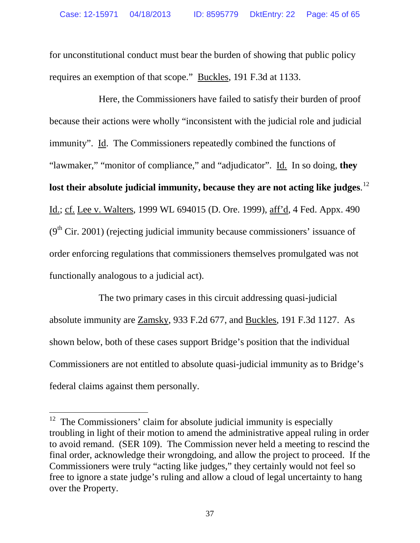for unconstitutional conduct must bear the burden of showing that public policy requires an exemption of that scope." Buckles, 191 F.3d at 1133.

Here, the Commissioners have failed to satisfy their burden of proof because their actions were wholly "inconsistent with the judicial role and judicial immunity". Id. The Commissioners repeatedly combined the functions of "lawmaker," "monitor of compliance," and "adjudicator". Id. In so doing, **they lost their absolute judicial immunity, because they are not acting like judges**. [12](#page-44-0) Id.; cf. Lee v. Walters, 1999 WL 694015 (D. Ore. 1999), aff'd, 4 Fed. Appx. 490  $(9<sup>th</sup> Cir. 2001)$  (rejecting judicial immunity because commissioners' issuance of order enforcing regulations that commissioners themselves promulgated was not functionally analogous to a judicial act).

The two primary cases in this circuit addressing quasi-judicial absolute immunity are Zamsky, 933 F.2d 677, and Buckles, 191 F.3d 1127. As shown below, both of these cases support Bridge's position that the individual Commissioners are not entitled to absolute quasi-judicial immunity as to Bridge's federal claims against them personally.

<span id="page-44-0"></span> $12$  The Commissioners' claim for absolute judicial immunity is especially troubling in light of their motion to amend the administrative appeal ruling in order to avoid remand. (SER 109). The Commission never held a meeting to rescind the final order, acknowledge their wrongdoing, and allow the project to proceed. If the Commissioners were truly "acting like judges," they certainly would not feel so free to ignore a state judge's ruling and allow a cloud of legal uncertainty to hang over the Property.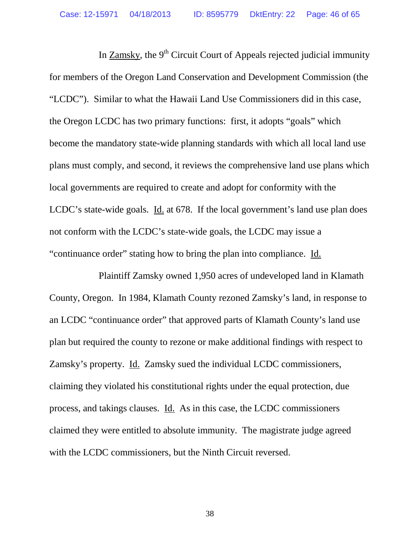In Zamsky, the  $9<sup>th</sup>$  Circuit Court of Appeals rejected judicial immunity for members of the Oregon Land Conservation and Development Commission (the "LCDC"). Similar to what the Hawaii Land Use Commissioners did in this case, the Oregon LCDC has two primary functions: first, it adopts "goals" which become the mandatory state-wide planning standards with which all local land use plans must comply, and second, it reviews the comprehensive land use plans which local governments are required to create and adopt for conformity with the LCDC's state-wide goals. Id. at 678. If the local government's land use plan does not conform with the LCDC's state-wide goals, the LCDC may issue a "continuance order" stating how to bring the plan into compliance. Id.

Plaintiff Zamsky owned 1,950 acres of undeveloped land in Klamath County, Oregon. In 1984, Klamath County rezoned Zamsky's land, in response to an LCDC "continuance order" that approved parts of Klamath County's land use plan but required the county to rezone or make additional findings with respect to Zamsky's property. Id. Zamsky sued the individual LCDC commissioners, claiming they violated his constitutional rights under the equal protection, due process, and takings clauses. Id. As in this case, the LCDC commissioners claimed they were entitled to absolute immunity. The magistrate judge agreed with the LCDC commissioners, but the Ninth Circuit reversed.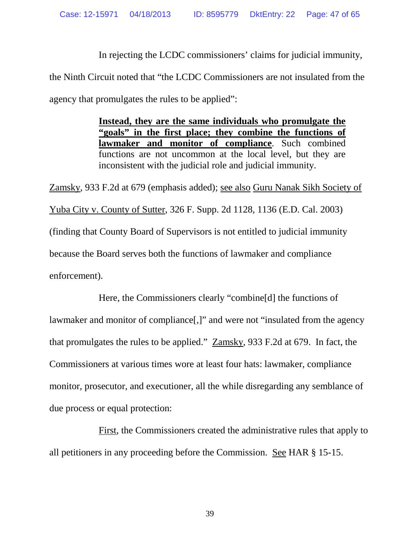In rejecting the LCDC commissioners' claims for judicial immunity, the Ninth Circuit noted that "the LCDC Commissioners are not insulated from the agency that promulgates the rules to be applied":

> **Instead, they are the same individuals who promulgate the "goals" in the first place; they combine the functions of**  lawmaker and monitor of compliance. Such combined functions are not uncommon at the local level, but they are inconsistent with the judicial role and judicial immunity.

Zamsky, 933 F.2d at 679 (emphasis added); see also Guru Nanak Sikh Society of Yuba City v. County of Sutter, 326 F. Supp. 2d 1128, 1136 (E.D. Cal. 2003) (finding that County Board of Supervisors is not entitled to judicial immunity because the Board serves both the functions of lawmaker and compliance enforcement).

Here, the Commissioners clearly "combine[d] the functions of lawmaker and monitor of compliance[,]" and were not "insulated from the agency that promulgates the rules to be applied." Zamsky, 933 F.2d at 679. In fact, the Commissioners at various times wore at least four hats: lawmaker, compliance monitor, prosecutor, and executioner, all the while disregarding any semblance of due process or equal protection:

First, the Commissioners created the administrative rules that apply to all petitioners in any proceeding before the Commission. See HAR § 15-15.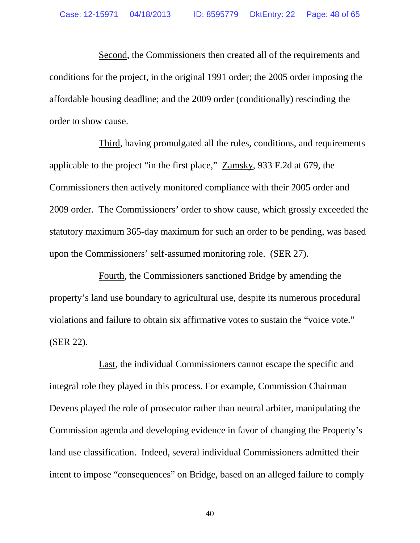Second, the Commissioners then created all of the requirements and conditions for the project, in the original 1991 order; the 2005 order imposing the affordable housing deadline; and the 2009 order (conditionally) rescinding the order to show cause.

Third, having promulgated all the rules, conditions, and requirements applicable to the project "in the first place," Zamsky, 933 F.2d at 679, the Commissioners then actively monitored compliance with their 2005 order and 2009 order. The Commissioners' order to show cause, which grossly exceeded the statutory maximum 365-day maximum for such an order to be pending, was based upon the Commissioners' self-assumed monitoring role. (SER 27).

Fourth, the Commissioners sanctioned Bridge by amending the property's land use boundary to agricultural use, despite its numerous procedural violations and failure to obtain six affirmative votes to sustain the "voice vote." (SER 22).

Last, the individual Commissioners cannot escape the specific and integral role they played in this process. For example, Commission Chairman Devens played the role of prosecutor rather than neutral arbiter, manipulating the Commission agenda and developing evidence in favor of changing the Property's land use classification. Indeed, several individual Commissioners admitted their intent to impose "consequences" on Bridge, based on an alleged failure to comply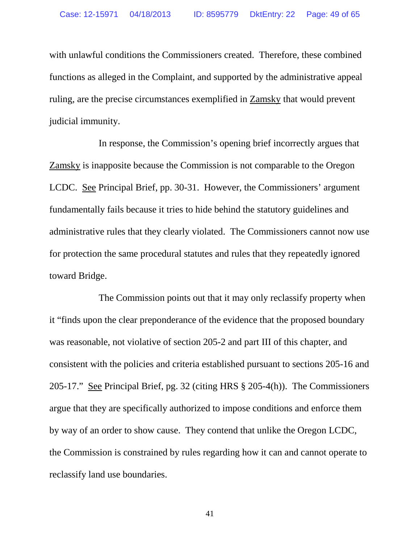with unlawful conditions the Commissioners created. Therefore, these combined functions as alleged in the Complaint, and supported by the administrative appeal ruling, are the precise circumstances exemplified in Zamsky that would prevent judicial immunity.

In response, the Commission's opening brief incorrectly argues that Zamsky is inapposite because the Commission is not comparable to the Oregon LCDC. See Principal Brief, pp. 30-31. However, the Commissioners' argument fundamentally fails because it tries to hide behind the statutory guidelines and administrative rules that they clearly violated. The Commissioners cannot now use for protection the same procedural statutes and rules that they repeatedly ignored toward Bridge.

The Commission points out that it may only reclassify property when it "finds upon the clear preponderance of the evidence that the proposed boundary was reasonable, not violative of section 205-2 and part III of this chapter, and consistent with the policies and criteria established pursuant to sections 205-16 and 205-17." See Principal Brief, pg. 32 (citing HRS § 205-4(h)). The Commissioners argue that they are specifically authorized to impose conditions and enforce them by way of an order to show cause. They contend that unlike the Oregon LCDC, the Commission is constrained by rules regarding how it can and cannot operate to reclassify land use boundaries.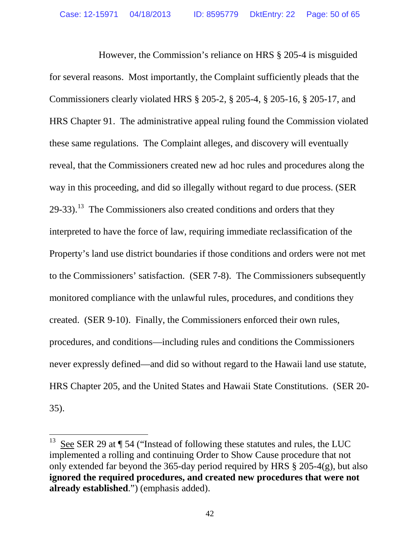However, the Commission's reliance on HRS § 205-4 is misguided for several reasons. Most importantly, the Complaint sufficiently pleads that the Commissioners clearly violated HRS § 205-2, § 205-4, § 205-16, § 205-17, and HRS Chapter 91. The administrative appeal ruling found the Commission violated these same regulations. The Complaint alleges, and discovery will eventually reveal, that the Commissioners created new ad hoc rules and procedures along the way in this proceeding, and did so illegally without regard to due process. (SER  $29-33$ ).<sup>[13](#page-49-0)</sup> The Commissioners also created conditions and orders that they interpreted to have the force of law, requiring immediate reclassification of the Property's land use district boundaries if those conditions and orders were not met to the Commissioners' satisfaction. (SER 7-8). The Commissioners subsequently monitored compliance with the unlawful rules, procedures, and conditions they created. (SER 9-10). Finally, the Commissioners enforced their own rules, procedures, and conditions—including rules and conditions the Commissioners never expressly defined—and did so without regard to the Hawaii land use statute, HRS Chapter 205, and the United States and Hawaii State Constitutions. (SER 20- 35).

<span id="page-49-0"></span>See SER 29 at  $\P$  54 ("Instead of following these statutes and rules, the LUC implemented a rolling and continuing Order to Show Cause procedure that not only extended far beyond the 365-day period required by HRS § 205-4(g), but also **ignored the required procedures, and created new procedures that were not already established**.") (emphasis added).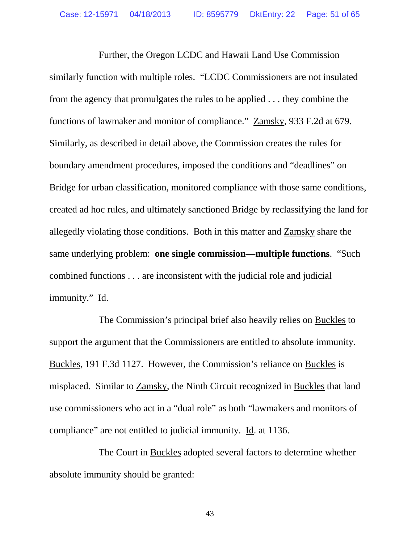Further, the Oregon LCDC and Hawaii Land Use Commission similarly function with multiple roles. "LCDC Commissioners are not insulated from the agency that promulgates the rules to be applied . . . they combine the functions of lawmaker and monitor of compliance." Zamsky, 933 F.2d at 679. Similarly, as described in detail above, the Commission creates the rules for boundary amendment procedures, imposed the conditions and "deadlines" on Bridge for urban classification, monitored compliance with those same conditions, created ad hoc rules, and ultimately sanctioned Bridge by reclassifying the land for allegedly violating those conditions. Both in this matter and Zamsky share the same underlying problem: **one single commission—multiple functions**. "Such combined functions . . . are inconsistent with the judicial role and judicial immunity." Id.

The Commission's principal brief also heavily relies on Buckles to support the argument that the Commissioners are entitled to absolute immunity. Buckles, 191 F.3d 1127. However, the Commission's reliance on Buckles is misplaced. Similar to Zamsky, the Ninth Circuit recognized in Buckles that land use commissioners who act in a "dual role" as both "lawmakers and monitors of compliance" are not entitled to judicial immunity. Id. at 1136.

The Court in Buckles adopted several factors to determine whether absolute immunity should be granted: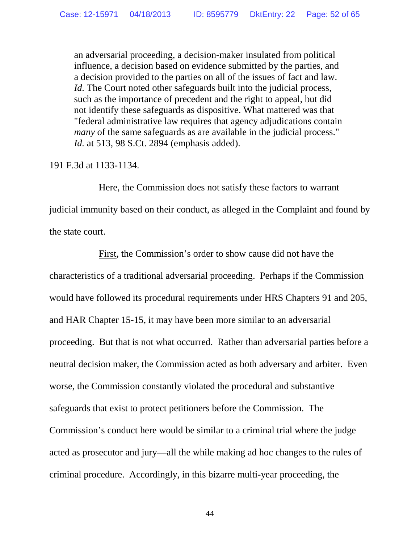an adversarial proceeding, a decision-maker insulated from political influence, a decision based on evidence submitted by the parties, and a decision provided to the parties on all of the issues of fact and law. *Id.* The Court noted other safeguards built into the judicial process, such as the importance of precedent and the right to appeal, but did not identify these safeguards as dispositive. What mattered was that "federal administrative law requires that agency adjudications contain *many* of the same safeguards as are available in the judicial process." *Id.* at 513, 98 S.Ct. 2894 (emphasis added).

191 F.3d at 1133-1134.

Here, the Commission does not satisfy these factors to warrant judicial immunity based on their conduct, as alleged in the Complaint and found by the state court.

First, the Commission's order to show cause did not have the characteristics of a traditional adversarial proceeding. Perhaps if the Commission would have followed its procedural requirements under HRS Chapters 91 and 205, and HAR Chapter 15-15, it may have been more similar to an adversarial proceeding. But that is not what occurred. Rather than adversarial parties before a neutral decision maker, the Commission acted as both adversary and arbiter. Even worse, the Commission constantly violated the procedural and substantive safeguards that exist to protect petitioners before the Commission. The Commission's conduct here would be similar to a criminal trial where the judge acted as prosecutor and jury—all the while making ad hoc changes to the rules of criminal procedure. Accordingly, in this bizarre multi-year proceeding, the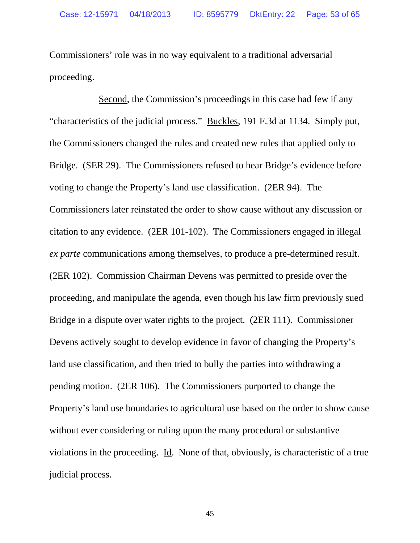Commissioners' role was in no way equivalent to a traditional adversarial proceeding.

Second, the Commission's proceedings in this case had few if any "characteristics of the judicial process." Buckles, 191 F.3d at 1134. Simply put, the Commissioners changed the rules and created new rules that applied only to Bridge. (SER 29). The Commissioners refused to hear Bridge's evidence before voting to change the Property's land use classification. (2ER 94). The Commissioners later reinstated the order to show cause without any discussion or citation to any evidence. (2ER 101-102). The Commissioners engaged in illegal *ex parte* communications among themselves, to produce a pre-determined result. (2ER 102). Commission Chairman Devens was permitted to preside over the proceeding, and manipulate the agenda, even though his law firm previously sued Bridge in a dispute over water rights to the project. (2ER 111). Commissioner Devens actively sought to develop evidence in favor of changing the Property's land use classification, and then tried to bully the parties into withdrawing a pending motion. (2ER 106). The Commissioners purported to change the Property's land use boundaries to agricultural use based on the order to show cause without ever considering or ruling upon the many procedural or substantive violations in the proceeding. Id. None of that, obviously, is characteristic of a true judicial process.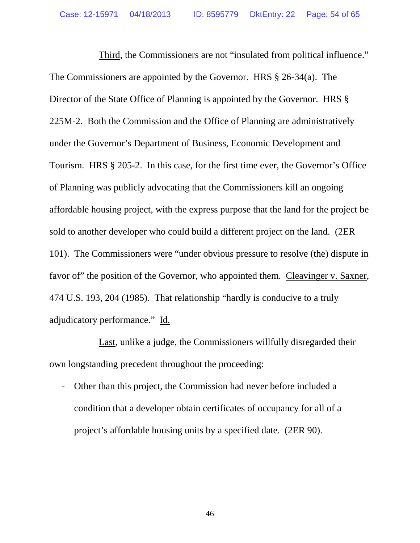Third, the Commissioners are not "insulated from political influence." The Commissioners are appointed by the Governor. HRS § 26-34(a). The Director of the State Office of Planning is appointed by the Governor. HRS  $\S$ 225M-2. Both the Commission and the Office of Planning are administratively under the Governor's Department of Business, Economic Development and Tourism. HRS § 205-2. In this case, for the first time ever, the Governor's Office of Planning was publicly advocating that the Commissioners kill an ongoing affordable housing project, with the express purpose that the land for the project be sold to another developer who could build a different project on the land. (2ER 101). The Commissioners were "under obvious pressure to resolve (the) dispute in favor of" the position of the Governor, who appointed them. Cleavinger v. Saxner, 474 U.S. 193, 204 (1985). That relationship "hardly is conducive to a truly adjudicatory performance." Id.

Last, unlike a judge, the Commissioners willfully disregarded their own longstanding precedent throughout the proceeding:

- Other than this project, the Commission had never before included a condition that a developer obtain certificates of occupancy for all of a project's affordable housing units by a specified date. (2ER 90).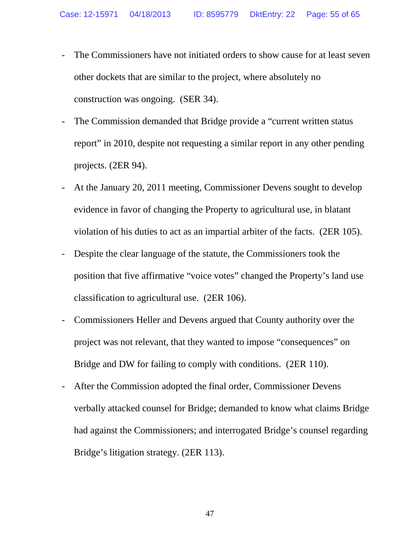- The Commissioners have not initiated orders to show cause for at least seven other dockets that are similar to the project, where absolutely no construction was ongoing. (SER 34).
- The Commission demanded that Bridge provide a "current written status" report" in 2010, despite not requesting a similar report in any other pending projects. (2ER 94).
- At the January 20, 2011 meeting, Commissioner Devens sought to develop evidence in favor of changing the Property to agricultural use, in blatant violation of his duties to act as an impartial arbiter of the facts. (2ER 105).
- Despite the clear language of the statute, the Commissioners took the position that five affirmative "voice votes" changed the Property's land use classification to agricultural use. (2ER 106).
- Commissioners Heller and Devens argued that County authority over the project was not relevant, that they wanted to impose "consequences" on Bridge and DW for failing to comply with conditions. (2ER 110).
- After the Commission adopted the final order, Commissioner Devens verbally attacked counsel for Bridge; demanded to know what claims Bridge had against the Commissioners; and interrogated Bridge's counsel regarding Bridge's litigation strategy. (2ER 113).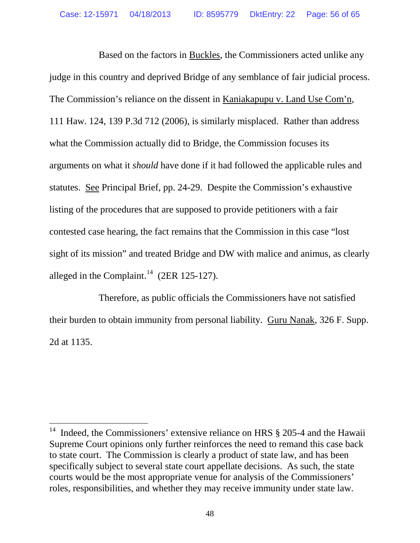Based on the factors in Buckles, the Commissioners acted unlike any judge in this country and deprived Bridge of any semblance of fair judicial process. The Commission's reliance on the dissent in Kaniakapupu v. Land Use Com'n, 111 Haw. 124, 139 P.3d 712 (2006), is similarly misplaced. Rather than address what the Commission actually did to Bridge, the Commission focuses its arguments on what it *should* have done if it had followed the applicable rules and statutes. See Principal Brief, pp. 24-29. Despite the Commission's exhaustive listing of the procedures that are supposed to provide petitioners with a fair contested case hearing, the fact remains that the Commission in this case "lost sight of its mission" and treated Bridge and DW with malice and animus, as clearly alleged in the Complaint.<sup>[14](#page-55-0)</sup> (2ER 125-127).

Therefore, as public officials the Commissioners have not satisfied their burden to obtain immunity from personal liability. Guru Nanak, 326 F. Supp. 2d at 1135.

<span id="page-55-0"></span><sup>&</sup>lt;sup>14</sup> Indeed, the Commissioners' extensive reliance on HRS  $\S$  205-4 and the Hawaii Supreme Court opinions only further reinforces the need to remand this case back to state court. The Commission is clearly a product of state law, and has been specifically subject to several state court appellate decisions. As such, the state courts would be the most appropriate venue for analysis of the Commissioners' roles, responsibilities, and whether they may receive immunity under state law.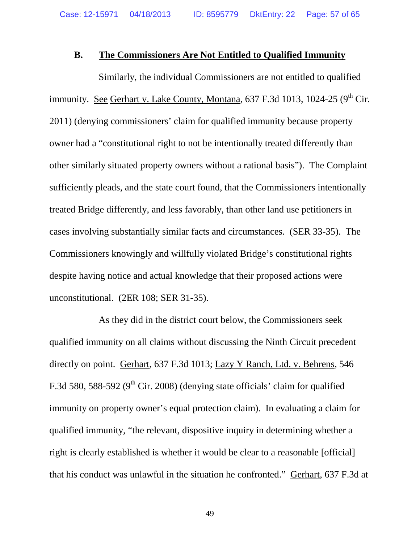## **B. The Commissioners Are Not Entitled to Qualified Immunity**

Similarly, the individual Commissioners are not entitled to qualified immunity. See Gerhart v. Lake County, Montana, 637 F.3d 1013, 1024-25 ( $9<sup>th</sup>$  Cir. 2011) (denying commissioners' claim for qualified immunity because property owner had a "constitutional right to not be intentionally treated differently than other similarly situated property owners without a rational basis"). The Complaint sufficiently pleads, and the state court found, that the Commissioners intentionally treated Bridge differently, and less favorably, than other land use petitioners in cases involving substantially similar facts and circumstances. (SER 33-35). The Commissioners knowingly and willfully violated Bridge's constitutional rights despite having notice and actual knowledge that their proposed actions were unconstitutional. (2ER 108; SER 31-35).

As they did in the district court below, the Commissioners seek qualified immunity on all claims without discussing the Ninth Circuit precedent directly on point. Gerhart, 637 F.3d 1013; Lazy Y Ranch, Ltd. v. Behrens, 546 F.3d 580, 588-592 ( $9<sup>th</sup>$  Cir. 2008) (denying state officials' claim for qualified immunity on property owner's equal protection claim). In evaluating a claim for qualified immunity, "the relevant, dispositive inquiry in determining whether a right is clearly established is whether it would be clear to a reasonable [official] that his conduct was unlawful in the situation he confronted." Gerhart, 637 F.3d at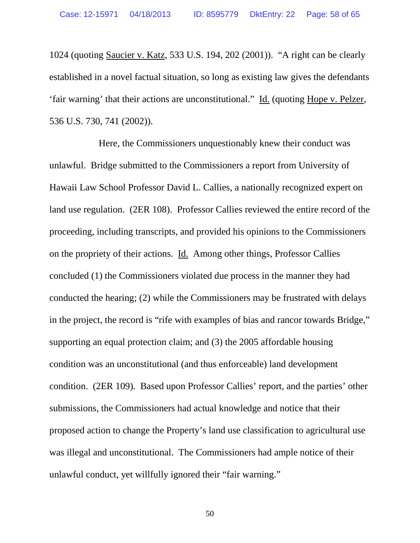1024 (quoting Saucier v. Katz, 533 U.S. 194, 202 (2001)). "A right can be clearly established in a novel factual situation, so long as existing law gives the defendants 'fair warning' that their actions are unconstitutional." Id. (quoting Hope v. Pelzer, 536 U.S. 730, 741 (2002)).

Here, the Commissioners unquestionably knew their conduct was unlawful. Bridge submitted to the Commissioners a report from University of Hawaii Law School Professor David L. Callies, a nationally recognized expert on land use regulation. (2ER 108). Professor Callies reviewed the entire record of the proceeding, including transcripts, and provided his opinions to the Commissioners on the propriety of their actions. Id. Among other things, Professor Callies concluded (1) the Commissioners violated due process in the manner they had conducted the hearing; (2) while the Commissioners may be frustrated with delays in the project, the record is "rife with examples of bias and rancor towards Bridge," supporting an equal protection claim; and (3) the 2005 affordable housing condition was an unconstitutional (and thus enforceable) land development condition. (2ER 109). Based upon Professor Callies' report, and the parties' other submissions, the Commissioners had actual knowledge and notice that their proposed action to change the Property's land use classification to agricultural use was illegal and unconstitutional. The Commissioners had ample notice of their unlawful conduct, yet willfully ignored their "fair warning."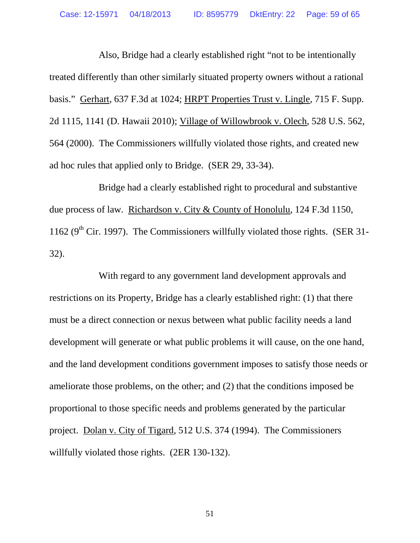Also, Bridge had a clearly established right "not to be intentionally treated differently than other similarly situated property owners without a rational basis." Gerhart, 637 F.3d at 1024; HRPT Properties Trust v. Lingle, 715 F. Supp. 2d 1115, 1141 (D. Hawaii 2010); Village of Willowbrook v. Olech, 528 U.S. 562, 564 (2000). The Commissioners willfully violated those rights, and created new ad hoc rules that applied only to Bridge. (SER 29, 33-34).

Bridge had a clearly established right to procedural and substantive due process of law. Richardson v. City & County of Honolulu, 124 F.3d 1150, 1162 ( $9<sup>th</sup>$  Cir. 1997). The Commissioners willfully violated those rights. (SER 31-32).

With regard to any government land development approvals and restrictions on its Property, Bridge has a clearly established right: (1) that there must be a direct connection or nexus between what public facility needs a land development will generate or what public problems it will cause, on the one hand, and the land development conditions government imposes to satisfy those needs or ameliorate those problems, on the other; and (2) that the conditions imposed be proportional to those specific needs and problems generated by the particular project. Dolan v. City of Tigard, 512 U.S. 374 (1994). The Commissioners willfully violated those rights. (2ER 130-132).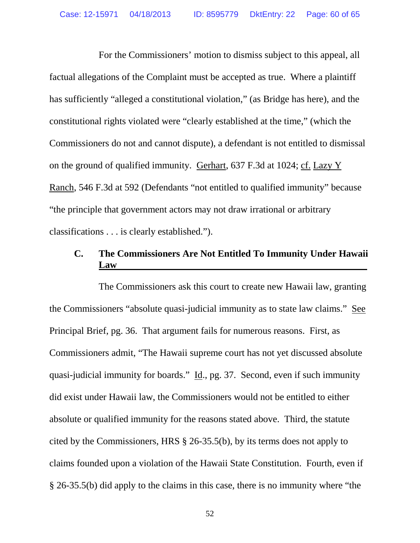For the Commissioners' motion to dismiss subject to this appeal, all factual allegations of the Complaint must be accepted as true. Where a plaintiff has sufficiently "alleged a constitutional violation," (as Bridge has here), and the constitutional rights violated were "clearly established at the time," (which the Commissioners do not and cannot dispute), a defendant is not entitled to dismissal on the ground of qualified immunity. Gerhart, 637 F.3d at 1024; cf. Lazy Y Ranch, 546 F.3d at 592 (Defendants "not entitled to qualified immunity" because "the principle that government actors may not draw irrational or arbitrary classifications . . . is clearly established.").

# **C. The Commissioners Are Not Entitled To Immunity Under Hawaii Law**

The Commissioners ask this court to create new Hawaii law, granting the Commissioners "absolute quasi-judicial immunity as to state law claims." See Principal Brief, pg. 36. That argument fails for numerous reasons. First, as Commissioners admit, "The Hawaii supreme court has not yet discussed absolute quasi-judicial immunity for boards." Id., pg. 37. Second, even if such immunity did exist under Hawaii law, the Commissioners would not be entitled to either absolute or qualified immunity for the reasons stated above. Third, the statute cited by the Commissioners, HRS § 26-35.5(b), by its terms does not apply to claims founded upon a violation of the Hawaii State Constitution. Fourth, even if § 26-35.5(b) did apply to the claims in this case, there is no immunity where "the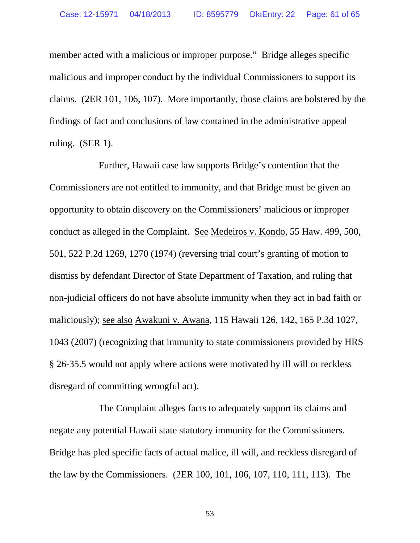member acted with a malicious or improper purpose." Bridge alleges specific malicious and improper conduct by the individual Commissioners to support its claims. (2ER 101, 106, 107). More importantly, those claims are bolstered by the findings of fact and conclusions of law contained in the administrative appeal ruling. (SER 1).

Further, Hawaii case law supports Bridge's contention that the Commissioners are not entitled to immunity, and that Bridge must be given an opportunity to obtain discovery on the Commissioners' malicious or improper conduct as alleged in the Complaint. See Medeiros v. Kondo, 55 Haw. 499, 500, 501, 522 P.2d 1269, 1270 (1974) (reversing trial court's granting of motion to dismiss by defendant Director of State Department of Taxation, and ruling that non-judicial officers do not have absolute immunity when they act in bad faith or maliciously); see also Awakuni v. Awana, 115 Hawaii 126, 142, 165 P.3d 1027, 1043 (2007) (recognizing that immunity to state commissioners provided by HRS § 26-35.5 would not apply where actions were motivated by ill will or reckless disregard of committing wrongful act).

The Complaint alleges facts to adequately support its claims and negate any potential Hawaii state statutory immunity for the Commissioners. Bridge has pled specific facts of actual malice, ill will, and reckless disregard of the law by the Commissioners. (2ER 100, 101, 106, 107, 110, 111, 113). The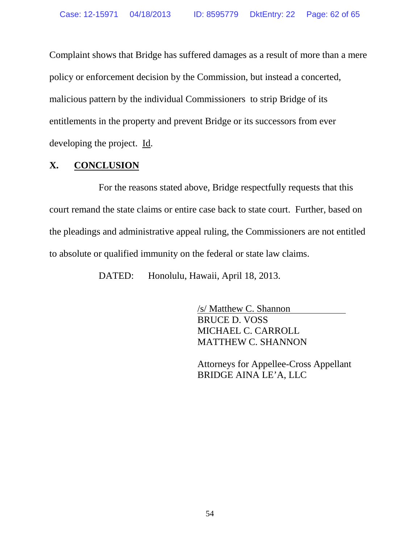Complaint shows that Bridge has suffered damages as a result of more than a mere policy or enforcement decision by the Commission, but instead a concerted, malicious pattern by the individual Commissioners to strip Bridge of its entitlements in the property and prevent Bridge or its successors from ever developing the project. Id.

# **X. CONCLUSION**

For the reasons stated above, Bridge respectfully requests that this court remand the state claims or entire case back to state court. Further, based on the pleadings and administrative appeal ruling, the Commissioners are not entitled to absolute or qualified immunity on the federal or state law claims.

DATED: Honolulu, Hawaii, April 18, 2013.

/s/ Matthew C. Shannon BRUCE D. VOSS MICHAEL C. CARROLL MATTHEW C. SHANNON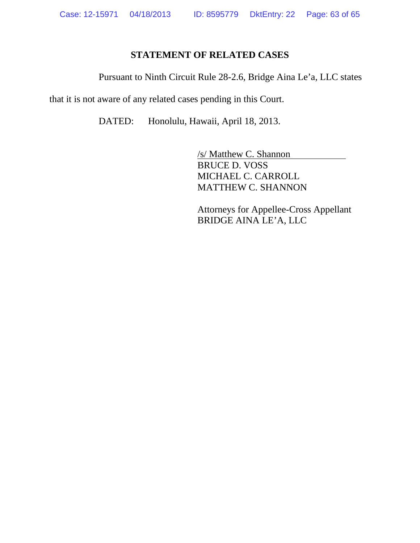# **STATEMENT OF RELATED CASES**

Pursuant to Ninth Circuit Rule 28-2.6, Bridge Aina Le'a, LLC states

that it is not aware of any related cases pending in this Court.

DATED: Honolulu, Hawaii, April 18, 2013.

/s/ Matthew C. Shannon BRUCE D. VOSS MICHAEL C. CARROLL MATTHEW C. SHANNON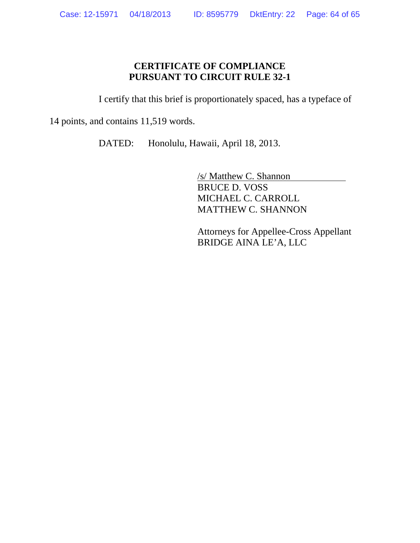# **CERTIFICATE OF COMPLIANCE PURSUANT TO CIRCUIT RULE 32-1**

I certify that this brief is proportionately spaced, has a typeface of

14 points, and contains 11,519 words.

DATED: Honolulu, Hawaii, April 18, 2013.

/s/ Matthew C. Shannon BRUCE D. VOSS MICHAEL C. CARROLL MATTHEW C. SHANNON